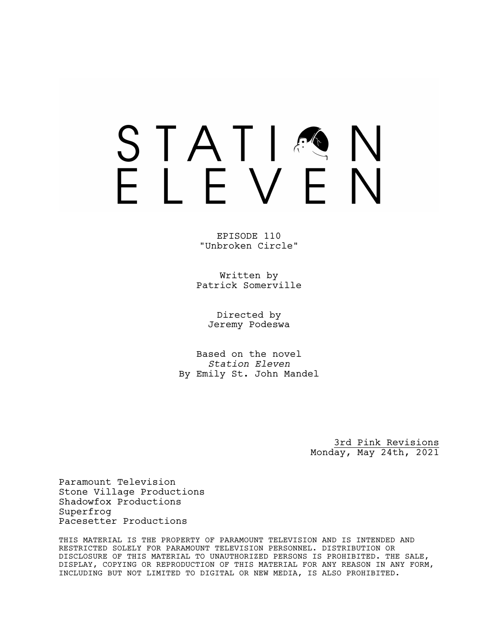### STATIA FIFVFN

EPISODE 110 "Unbroken Circle"

Written by Patrick Somerville

> Directed by Jeremy Podeswa

Based on the novel *Station Eleven* By Emily St. John Mandel

> 3rd Pink Revisions Monday, May 24th, 2021

Paramount Television Stone Village Productions Shadowfox Productions Superfrog Pacesetter Productions

THIS MATERIAL IS THE PROPERTY OF PARAMOUNT TELEVISION AND IS INTENDED AND RESTRICTED SOLELY FOR PARAMOUNT TELEVISION PERSONNEL. DISTRIBUTION OR DISCLOSURE OF THIS MATERIAL TO UNAUTHORIZED PERSONS IS PROHIBITED. THE SALE, DISPLAY, COPYING OR REPRODUCTION OF THIS MATERIAL FOR ANY REASON IN ANY FORM, INCLUDING BUT NOT LIMITED TO DIGITAL OR NEW MEDIA, IS ALSO PROHIBITED.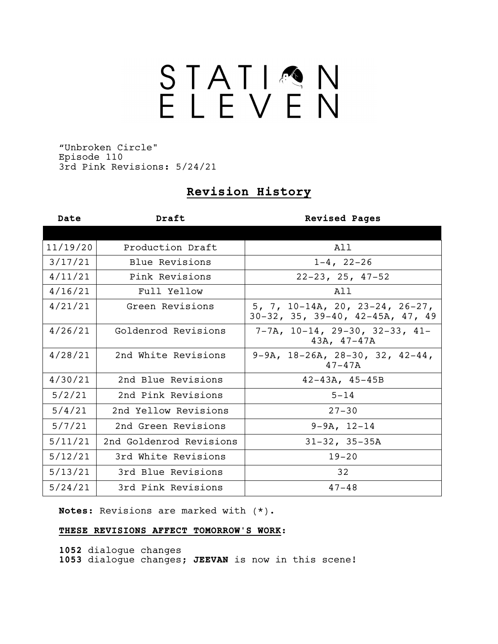# STATIQN

"Unbroken Circle" Episode 110 3rd Pink Revisions: 5/24/21

### **Revision History**

| Date     | Draft                   | <b>Revised Pages</b>                                                |
|----------|-------------------------|---------------------------------------------------------------------|
|          |                         |                                                                     |
| 11/19/20 | Production Draft        | All                                                                 |
| 3/17/21  | Blue Revisions          | $1-4, 22-26$                                                        |
| 4/11/21  | Pink Revisions          | $22-23, 25, 47-52$                                                  |
| 4/16/21  | Full Yellow             | A 1 1                                                               |
| 4/21/21  | Green Revisions         | 5, 7, 10-14A, 20, 23-24, 26-27,<br>30-32, 35, 39-40, 42-45A, 47, 49 |
| 4/26/21  | Goldenrod Revisions     | $7-7A$ , $10-14$ , $29-30$ , $32-33$ , $41-$<br>$43A, 47-47A$       |
| 4/28/21  | 2nd White Revisions     | $9-9A$ , $18-26A$ , $28-30$ , $32$ , $42-44$ ,<br>$47 - 47A$        |
| 4/30/21  | 2nd Blue Revisions      | $42 - 43A, 45 - 45B$                                                |
| 5/2/21   | 2nd Pink Revisions      | $5 - 14$                                                            |
| 5/4/21   | 2nd Yellow Revisions    | $27 - 30$                                                           |
| 5/7/21   | 2nd Green Revisions     | $9-9A, 12-14$                                                       |
| 5/11/21  | 2nd Goldenrod Revisions | $31-32$ , $35-35A$                                                  |
| 5/12/21  | 3rd White Revisions     | $19 - 20$                                                           |
| 5/13/21  | 3rd Blue Revisions      | 32                                                                  |
| 5/24/21  | 3rd Pink Revisions      | $47 - 48$                                                           |

**Notes:** Revisions are marked with (\*).

### **THESE REVISIONS AFFECT TOMORROW'S WORK:**

**1052** dialogue changes **1053** dialogue changes; **JEEVAN** is now in this scene!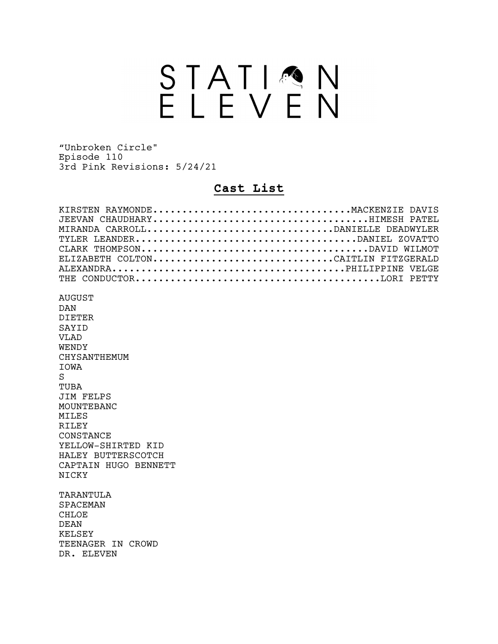## STATION<br>ELEVEN

"Unbroken Circle" Episode 110 3rd Pink Revisions: 5/24/21

### **Cast List**

| KIRSTEN RAYMONDEMACKENZIE<br>DAVTS<br>MIRANDA CARROLLDANIELLE DEADWYLER<br>TYLER LEANDERDANIEL ZOVATTO<br>ELIZABETH COLTONCAITLIN FITZGERALD                                                                                                                   |
|----------------------------------------------------------------------------------------------------------------------------------------------------------------------------------------------------------------------------------------------------------------|
| AUGUST<br>DAN<br><b>DIETER</b><br>SAYID<br><b>VLAD</b><br>WENDY<br>CHYSANTHEMUM<br><b>TOWA</b><br>S<br>TUBA<br><b>JIM FELPS</b><br>MOUNTEBANC<br><b>MILES</b><br><b>RILEY</b><br>CONSTANCE<br>YELLOW-SHIRTED KID<br>HALEY BUTTERSCOTCH<br>CAPTAIN HUGO BENNETT |
| NICKY<br>TARANTULA<br>SPACEMAN<br>CHLOE<br><b>DEAN</b><br><b>KELSEY</b><br>TEENAGER IN<br>CROWD<br>DR. ELEVEN                                                                                                                                                  |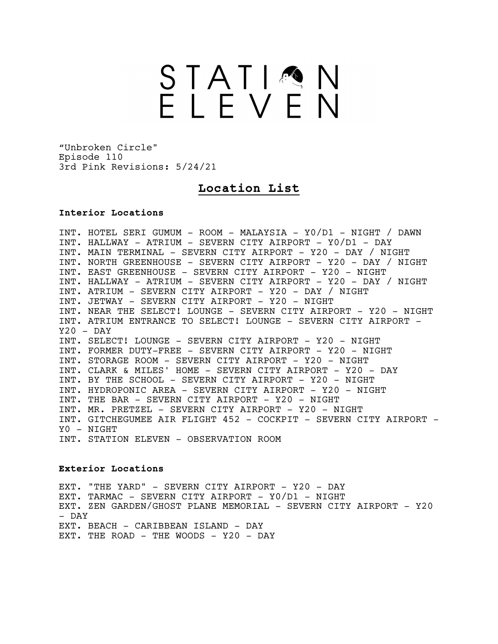### STATIMN<br>ELEVEN

"Unbroken Circle" Episode 110 3rd Pink Revisions: 5/24/21

### **Location List**

### **Interior Locations**

INT. HOTEL SERI GUMUM - ROOM - MALAYSIA - Y0/D1 - NIGHT / DAWN INT. HALLWAY - ATRIUM - SEVERN CITY AIRPORT - Y0/D1 - DAY INT. MAIN TERMINAL - SEVERN CITY AIRPORT - Y20 - DAY / NIGHT INT. NORTH GREENHOUSE - SEVERN CITY AIRPORT - Y20 - DAY / NIGHT INT. EAST GREENHOUSE - SEVERN CITY AIRPORT - Y20 - NIGHT INT. HALLWAY - ATRIUM - SEVERN CITY AIRPORT - Y20 - DAY / NIGHT INT. ATRIUM - SEVERN CITY AIRPORT - Y20 - DAY / NIGHT INT. JETWAY - SEVERN CITY AIRPORT - Y20 - NIGHT INT. NEAR THE SELECT! LOUNGE - SEVERN CITY AIRPORT - Y20 - NIGHT INT. ATRIUM ENTRANCE TO SELECT! LOUNGE - SEVERN CITY AIRPORT - Y20 - DAY INT. SELECT! LOUNGE - SEVERN CITY AIRPORT - Y20 - NIGHT INT. FORMER DUTY-FREE - SEVERN CITY AIRPORT - Y20 - NIGHT INT. STORAGE ROOM - SEVERN CITY AIRPORT - Y20 - NIGHT INT. CLARK & MILES' HOME - SEVERN CITY AIRPORT - Y20 - DAY INT. BY THE SCHOOL - SEVERN CITY AIRPORT - Y20 - NIGHT INT. HYDROPONIC AREA - SEVERN CITY AIRPORT - Y20 - NIGHT INT. THE BAR - SEVERN CITY AIRPORT - Y20 - NIGHT INT. MR. PRETZEL - SEVERN CITY AIRPORT - Y20 - NIGHT INT. GITCHEGUMEE AIR FLIGHT 452 - COCKPIT - SEVERN CITY AIRPORT -Y0 - NIGHT INT. STATION ELEVEN - OBSERVATION ROOM

### **Exterior Locations**

EXT. "THE YARD" - SEVERN CITY AIRPORT - Y20 - DAY EXT. TARMAC - SEVERN CITY AIRPORT - Y0/D1 - NIGHT EXT. ZEN GARDEN/GHOST PLANE MEMORIAL - SEVERN CITY AIRPORT - Y20 - DAY EXT. BEACH - CARIBBEAN ISLAND - DAY EXT. THE ROAD - THE WOODS - Y20 - DAY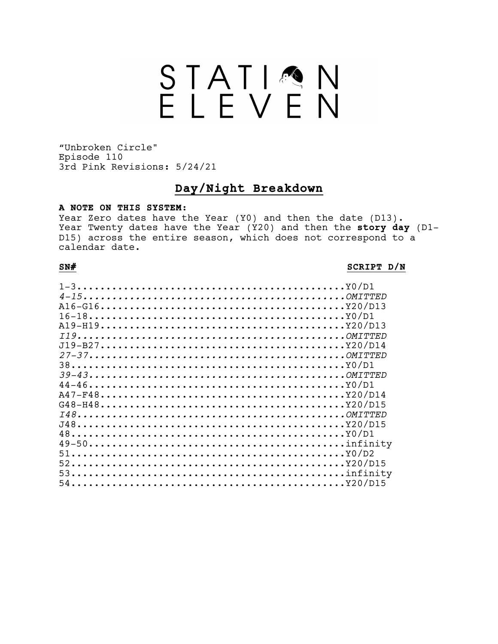### STATIQN

"Unbroken Circle" Episode 110 3rd Pink Revisions: 5/24/21

### **Day/Night Breakdown**

### **A NOTE ON THIS SYSTEM:**

Year Zero dates have the Year (Y0) and then the date (D13). Year Twenty dates have the Year (Y20) and then the **story day** (D1- D15) across the entire season, which does not correspond to a calendar date.

### **SN# SCRIPT D/N**

| $16-18Y0/D1$<br>$51$ |  |
|----------------------|--|
|                      |  |
|                      |  |
|                      |  |
|                      |  |
|                      |  |
|                      |  |
|                      |  |
|                      |  |
|                      |  |
|                      |  |
|                      |  |
|                      |  |
|                      |  |
|                      |  |
|                      |  |
|                      |  |
|                      |  |
|                      |  |
|                      |  |
|                      |  |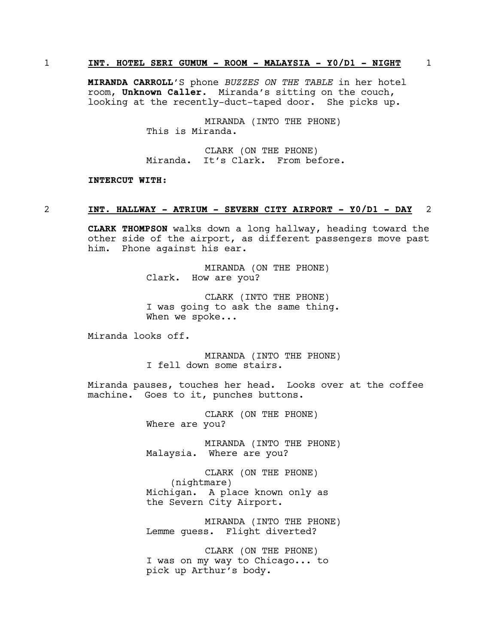### 1 **INT. HOTEL SERI GUMUM - ROOM - MALAYSIA - Y0/D1 - NIGHT** 1

**MIRANDA CARROLL**'S phone *BUZZES ON THE TABLE* in her hotel room, **Unknown Caller**. Miranda's sitting on the couch, looking at the recently-duct-taped door. She picks up.

> MIRANDA (INTO THE PHONE) This is Miranda.

CLARK (ON THE PHONE) Miranda. It's Clark. From before.

### **INTERCUT WITH:**

### 2 **INT. HALLWAY - ATRIUM - SEVERN CITY AIRPORT - Y0/D1 - DAY** 2

**CLARK THOMPSON** walks down a long hallway, heading toward the other side of the airport, as different passengers move past him. Phone against his ear.

> MIRANDA (ON THE PHONE) Clark. How are you?

CLARK (INTO THE PHONE) I was going to ask the same thing. When we spoke...

Miranda looks off.

MIRANDA (INTO THE PHONE) I fell down some stairs.

Miranda pauses, touches her head. Looks over at the coffee machine. Goes to it, punches buttons.

> CLARK (ON THE PHONE) Where are you?

MIRANDA (INTO THE PHONE) Malaysia. Where are you?

CLARK (ON THE PHONE) (nightmare) Michigan. A place known only as the Severn City Airport.

MIRANDA (INTO THE PHONE) Lemme guess. Flight diverted?

CLARK (ON THE PHONE) I was on my way to Chicago... to pick up Arthur's body.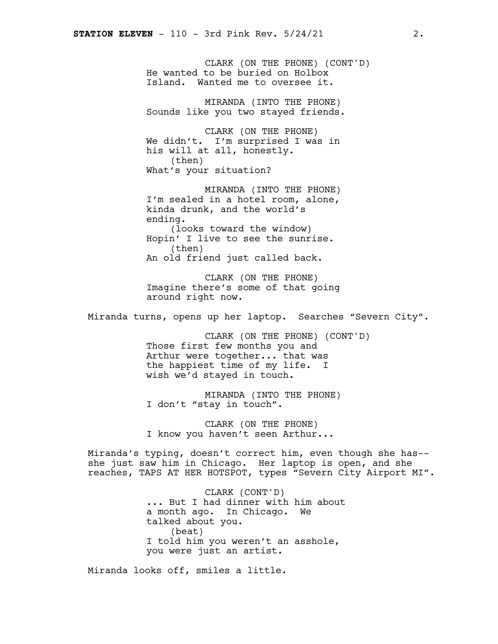CLARK (ON THE PHONE) (CONT'D) He wanted to be buried on Holbox Island. Wanted me to oversee it. MIRANDA (INTO THE PHONE) Sounds like you two stayed friends. CLARK (ON THE PHONE) We didn't. I'm surprised I was in his will at all, honestly. (then) What's your situation? MIRANDA (INTO THE PHONE) I'm sealed in a hotel room, alone, kinda drunk, and the world's ending. (looks toward the window) Hopin' I live to see the sunrise. (then) An old friend just called back. CLARK (ON THE PHONE) Imagine there's some of that going around right now. Miranda turns, opens up her laptop. Searches "Severn City". CLARK (ON THE PHONE) (CONT'D) Those first few months you and Arthur were together... that was the happiest time of my life. I wish we'd stayed in touch. MIRANDA (INTO THE PHONE) I don't "stay in touch". CLARK (ON THE PHONE) I know you haven't seen Arthur... Miranda's typing, doesn't correct him, even though she has- she just saw him in Chicago. Her laptop is open, and she reaches, TAPS AT HER HOTSPOT, types "Severn City Airport MI". CLARK (CONT'D) ... But I had dinner with him about a month ago. In Chicago. We talked about you. (beat) I told him you weren't an asshole, you were just an artist.

Miranda looks off, smiles a little.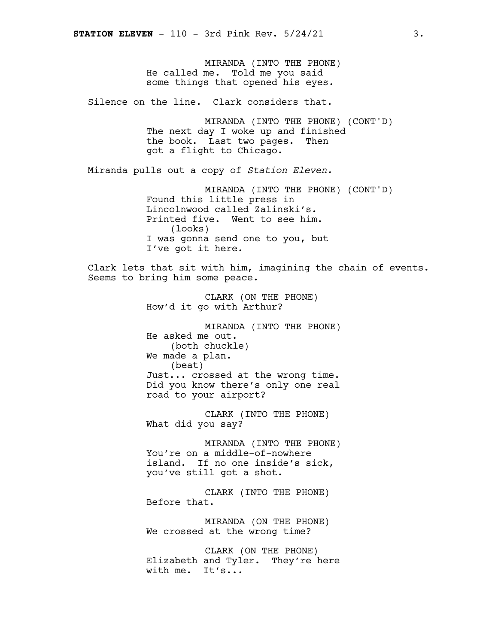MIRANDA (INTO THE PHONE) He called me. Told me you said some things that opened his eyes. Silence on the line. Clark considers that. MIRANDA (INTO THE PHONE) (CONT'D) The next day I woke up and finished the book. Last two pages. Then got a flight to Chicago. Miranda pulls out a copy of *Station Eleven.* MIRANDA (INTO THE PHONE) (CONT'D) Found this little press in Lincolnwood called Zalinski's. Printed five. Went to see him. (looks) I was gonna send one to you, but I've got it here. Clark lets that sit with him, imagining the chain of events. Seems to bring him some peace. CLARK (ON THE PHONE) How'd it go with Arthur? MIRANDA (INTO THE PHONE) He asked me out. (both chuckle) We made a plan. (beat) Just... crossed at the wrong time. Did you know there's only one real road to your airport? CLARK (INTO THE PHONE) What did you say? MIRANDA (INTO THE PHONE) You're on a middle-of-nowhere island. If no one inside's sick, you've still got a shot. CLARK (INTO THE PHONE) Before that. MIRANDA (ON THE PHONE) We crossed at the wrong time? CLARK (ON THE PHONE) Elizabeth and Tyler. They're here with me. It's...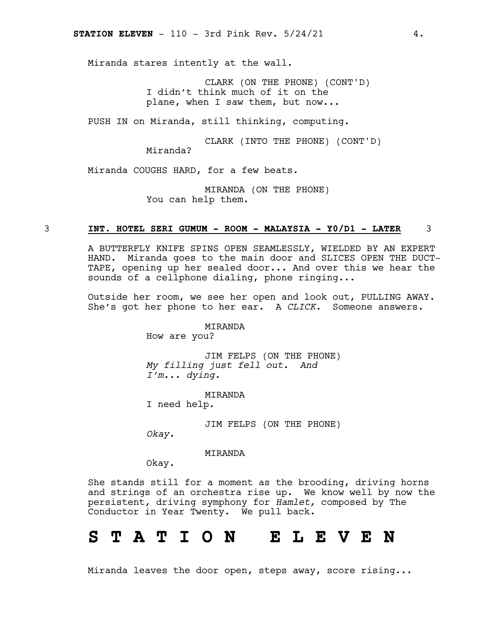Miranda stares intently at the wall.

CLARK (ON THE PHONE) (CONT'D) I didn't think much of it on the plane, when I saw them, but now...

PUSH IN on Miranda, still thinking, computing.

CLARK (INTO THE PHONE) (CONT'D) Miranda?

Miranda COUGHS HARD, for a few beats.

MIRANDA (ON THE PHONE) You can help them.

### 3 **INT. HOTEL SERI GUMUM - ROOM - MALAYSIA - Y0/D1 - LATER** 3

A BUTTERFLY KNIFE SPINS OPEN SEAMLESSLY, WIELDED BY AN EXPERT HAND. Miranda goes to the main door and SLICES OPEN THE DUCT-TAPE, opening up her sealed door... And over this we hear the sounds of a cellphone dialing, phone ringing...

Outside her room, we see her open and look out, PULLING AWAY. She's got her phone to her ear. A *CLICK.* Someone answers.

MIRANDA

How are you?

JIM FELPS (ON THE PHONE) *My filling just fell out. And I'm... dying.*

MIRANDA I need help.

JIM FELPS (ON THE PHONE)

*Okay.*

MIRANDA

Okay.

She stands still for a moment as the brooding, driving horns and strings of an orchestra rise up. We know well by now the persistent, driving symphony for *Hamlet,* composed by The Conductor in Year Twenty. We pull back.

### **S T A T I O N E L E V E N**

Miranda leaves the door open, steps away, score rising...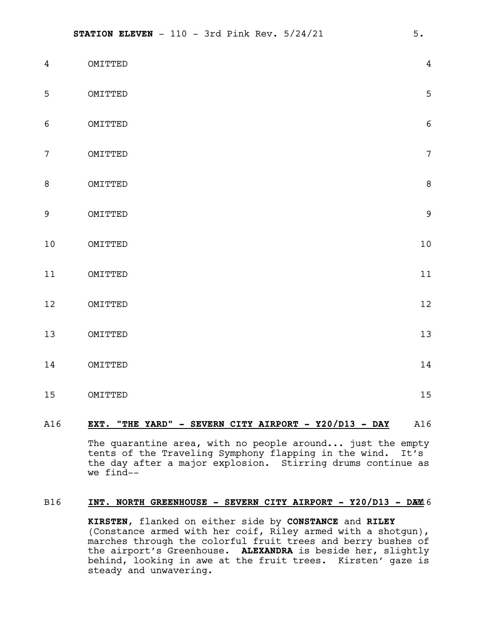| $\overline{4}$  | OMITTED | $\overline{4}$ |
|-----------------|---------|----------------|
| 5               | OMITTED | 5              |
| $\epsilon$      | OMITTED | $\overline{6}$ |
| $7\overline{ }$ | OMITTED | $\overline{7}$ |
| $\, 8$          | OMITTED | 8              |
| $\overline{9}$  | OMITTED | $\overline{9}$ |
| $10$            | OMITTED | 10             |
| $11$            | OMITTED | 11             |
| $12$            | OMITTED | 12             |
| $13$            | OMITTED | 13             |
| 14              | OMITTED | 14             |
| $15\,$          | OMITTED | 15             |

### A16 **EXT. "THE YARD" - SEVERN CITY AIRPORT - Y20/D13 - DAY** A16

The quarantine area, with no people around... just the empty tents of the Traveling Symphony flapping in the wind. It's the day after a major explosion. Stirring drums continue as we find--

### B16 **INT. NORTH GREENHOUSE - SEVERN CITY AIRPORT - Y20/D13 - DA**B16 **Y**

**KIRSTEN**, flanked on either side by **CONSTANCE** and **RILEY** (Constance armed with her coif, Riley armed with a shotgun), marches through the colorful fruit trees and berry bushes of the airport's Greenhouse. **ALEXANDRA** is beside her, slightly behind, looking in awe at the fruit trees. Kirsten' gaze is steady and unwavering.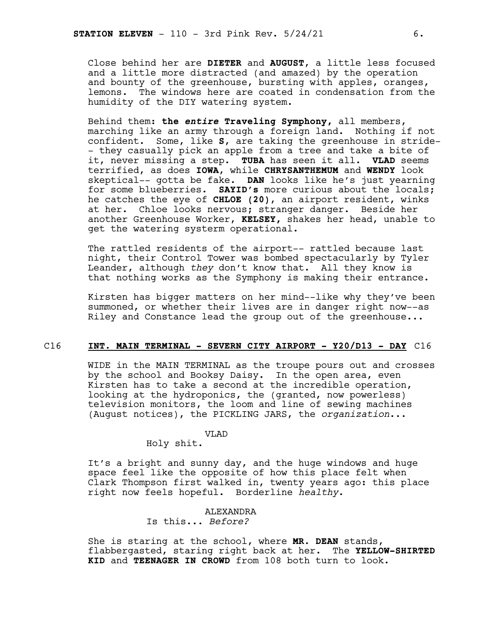Close behind her are **DIETER** and **AUGUST**, a little less focused and a little more distracted (and amazed) by the operation and bounty of the greenhouse, bursting with apples, oranges, lemons. The windows here are coated in condensation from the humidity of the DIY watering system.

Behind them: **the** *entire* **Traveling Symphony,** all members, marching like an army through a foreign land. Nothing if not confident. Some, like **S**, are taking the greenhouse in stride- - they casually pick an apple from a tree and take a bite of it, never missing a step. **TUBA** has seen it all. **VLAD** seems terrified, as does **IOWA**, while **CHRYSANTHEMUM** and **WENDY** look skeptical-- gotta be fake. **DAN** looks like he's just yearning for some blueberries. **SAYID's** more curious about the locals; he catches the eye of **CHLOE (20)**, an airport resident, winks at her. Chloe looks nervous; stranger danger. Beside her another Greenhouse Worker, **KELSEY,** shakes her head, unable to get the watering systerm operational.

The rattled residents of the airport-- rattled because last night, their Control Tower was bombed spectacularly by Tyler Leander, although *they* don't know that. All they know is that nothing works as the Symphony is making their entrance.

Kirsten has bigger matters on her mind--like why they've been summoned, or whether their lives are in danger right now--as Riley and Constance lead the group out of the greenhouse...

### C16 **INT. MAIN TERMINAL - SEVERN CITY AIRPORT - Y20/D13 - DAY** C16

WIDE in the MAIN TERMINAL as the troupe pours out and crosses by the school and Booksy Daisy. In the open area, even Kirsten has to take a second at the incredible operation, looking at the hydroponics, the (granted, now powerless) television monitors, the loom and line of sewing machines (August notices), the PICKLING JARS, the *organization*...

### VLAD

Holy shit.

It's a bright and sunny day, and the huge windows and huge space feel like the opposite of how this place felt when Clark Thompson first walked in, twenty years ago: this place right now feels hopeful. Borderline *healthy*.

### ALEXANDRA

Is this... *Before?*

She is staring at the school, where **MR. DEAN** stands, flabbergasted, staring right back at her. The **YELLOW-SHIRTED KID** and **TEENAGER IN CROWD** from 108 both turn to look.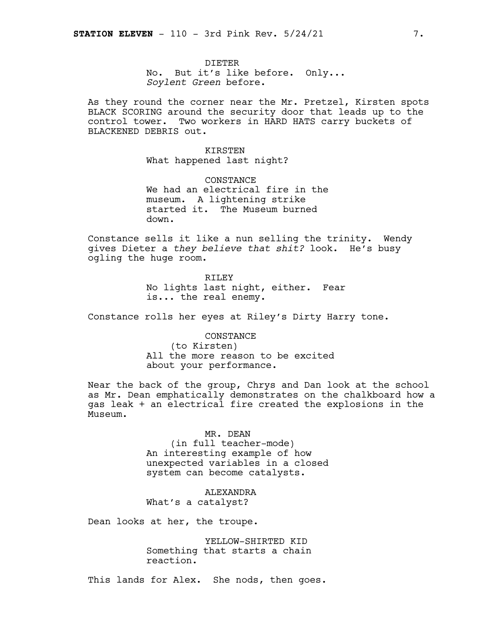DIETER No. But it's like before. Only... *Soylent Green* before.

As they round the corner near the Mr. Pretzel, Kirsten spots BLACK SCORING around the security door that leads up to the control tower. Two workers in HARD HATS carry buckets of BLACKENED DEBRIS out.

> KIRSTEN What happened last night?

CONSTANCE We had an electrical fire in the museum. A lightening strike started it. The Museum burned down.

Constance sells it like a nun selling the trinity. Wendy gives Dieter a *they believe that shit?* look. He's busy ogling the huge room.

> RILEY No lights last night, either. Fear is... the real enemy.

Constance rolls her eyes at Riley's Dirty Harry tone.

CONSTANCE (to Kirsten) All the more reason to be excited about your performance.

Near the back of the group, Chrys and Dan look at the school as Mr. Dean emphatically demonstrates on the chalkboard how a gas leak + an electrical fire created the explosions in the Museum.

> MR. DEAN (in full teacher-mode) An interesting example of how unexpected variables in a closed system can become catalysts.

ALEXANDRA What's a catalyst?

Dean looks at her, the troupe.

YELLOW-SHIRTED KID Something that starts a chain reaction.

This lands for Alex. She nods, then goes.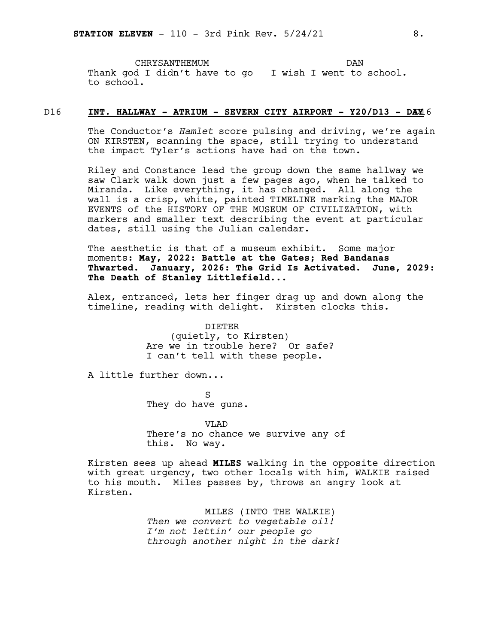CHRYSANTHEMUM Thank god I didn't have to go I wish I went to school. to school. DAN

### D16 **INT. HALLWAY - ATRIUM - SEVERN CITY AIRPORT - Y20/D13 - DA**D16 **Y**

The Conductor's *Hamlet* score pulsing and driving, we're again ON KIRSTEN, scanning the space, still trying to understand the impact Tyler's actions have had on the town.

Riley and Constance lead the group down the same hallway we saw Clark walk down just a few pages ago, when he talked to Miranda. Like everything, it has changed. All along the wall is a crisp, white, painted TIMELINE marking the MAJOR EVENTS of the HISTORY OF THE MUSEUM OF CIVILIZATION, with markers and smaller text describing the event at particular dates, still using the Julian calendar.

The aesthetic is that of a museum exhibit. Some major moments: **May, 2022: Battle at the Gates; Red Bandanas Thwarted. January, 2026: The Grid Is Activated. June, 2029: The Death of Stanley Littlefield**...

Alex, entranced, lets her finger drag up and down along the timeline, reading with delight. Kirsten clocks this.

> DIETER (quietly, to Kirsten) Are we in trouble here? Or safe? I can't tell with these people.

A little further down...

S They do have guns.

V<sub>L</sub>AD There's no chance we survive any of this. No way.

Kirsten sees up ahead **MILES** walking in the opposite direction with great urgency, two other locals with him, WALKIE raised to his mouth. Miles passes by, throws an angry look at Kirsten.

> MILES (INTO THE WALKIE) *Then we convert to vegetable oil! I'm not lettin' our people go through another night in the dark!*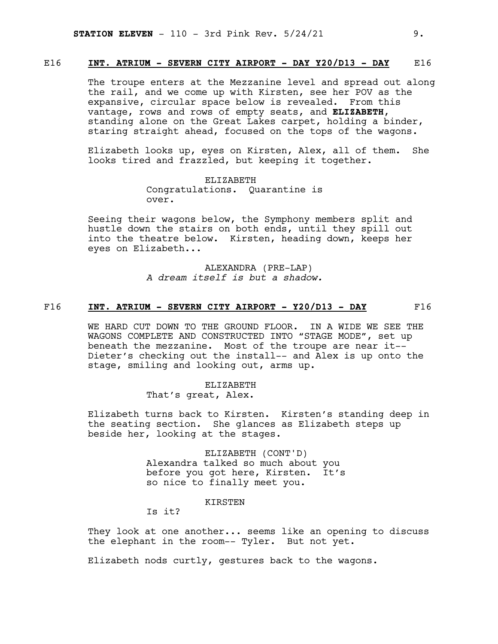### E16 **INT. ATRIUM - SEVERN CITY AIRPORT - DAY Y20/D13 - DAY** E16

The troupe enters at the Mezzanine level and spread out along the rail, and we come up with Kirsten, see her POV as the expansive, circular space below is revealed. From this vantage, rows and rows of empty seats, and **ELIZABETH**, standing alone on the Great Lakes carpet, holding a binder, staring straight ahead, focused on the tops of the wagons.

Elizabeth looks up, eyes on Kirsten, Alex, all of them. She looks tired and frazzled, but keeping it together.

> ELIZABETH Congratulations. Quarantine is over.

Seeing their wagons below, the Symphony members split and hustle down the stairs on both ends, until they spill out into the theatre below. Kirsten, heading down, keeps her eyes on Elizabeth...

> ALEXANDRA (PRE-LAP) *A dream itself is but a shadow.*

### F16 **INT. ATRIUM - SEVERN CITY AIRPORT - Y20/D13 - DAY** F16

WE HARD CUT DOWN TO THE GROUND FLOOR. IN A WIDE WE SEE THE WAGONS COMPLETE AND CONSTRUCTED INTO "STAGE MODE", set up beneath the mezzanine. Most of the troupe are near it-- Dieter's checking out the install-- and Alex is up onto the stage, smiling and looking out, arms up.

> ELIZABETH That's great, Alex.

Elizabeth turns back to Kirsten. Kirsten's standing deep in the seating section. She glances as Elizabeth steps up beside her, looking at the stages.

> ELIZABETH (CONT'D) Alexandra talked so much about you before you got here, Kirsten. It's so nice to finally meet you.

> > KIRSTEN

Is it?

They look at one another... seems like an opening to discuss the elephant in the room-- Tyler. But not yet.

Elizabeth nods curtly, gestures back to the wagons.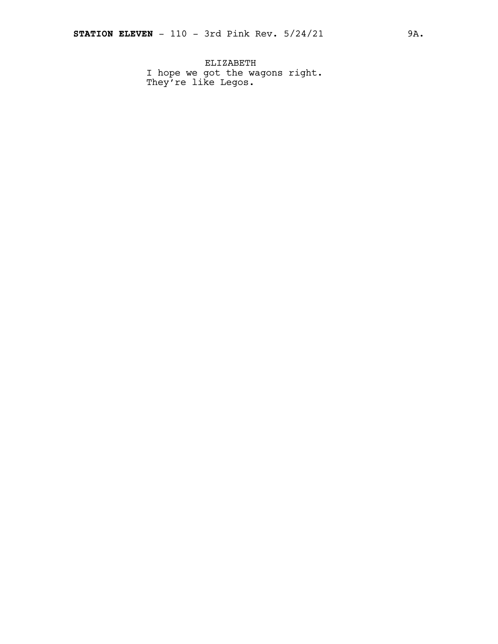ELIZABETH I hope we got the wagons right. They're like Legos.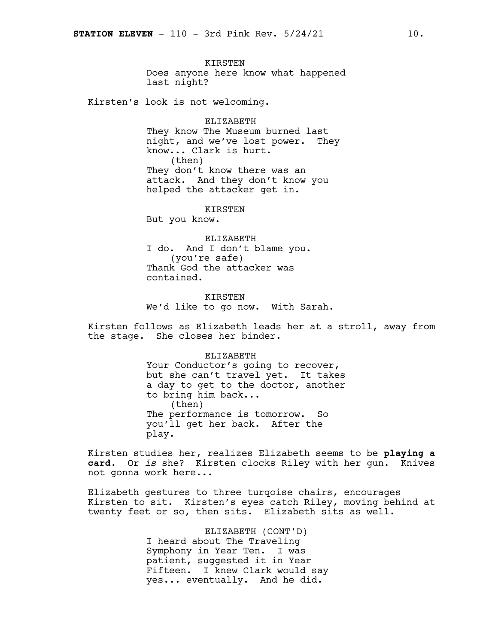KIRSTEN Does anyone here know what happened last night?

Kirsten's look is not welcoming.

ELIZABETH They know The Museum burned last night, and we've lost power. They know... Clark is hurt. (then) They don't know there was an attack. And they don't know you helped the attacker get in.

KIRSTEN

But you know.

ELIZABETH I do. And I don't blame you. (you're safe) Thank God the attacker was contained.

KIRSTEN We'd like to go now. With Sarah.

Kirsten follows as Elizabeth leads her at a stroll, away from the stage. She closes her binder.

> ELIZABETH Your Conductor's going to recover, but she can't travel yet. It takes a day to get to the doctor, another to bring him back... (then) The performance is tomorrow. So you'll get her back. After the play.

Kirsten studies her, realizes Elizabeth seems to be **playing a card**. Or *is* she? Kirsten clocks Riley with her gun. Knives not gonna work here...

Elizabeth gestures to three turqoise chairs, encourages Kirsten to sit. Kirsten's eyes catch Riley, moving behind at twenty feet or so, then sits. Elizabeth sits as well.

> ELIZABETH (CONT'D) I heard about The Traveling Symphony in Year Ten. I was patient, suggested it in Year Fifteen. I knew Clark would say yes... eventually. And he did.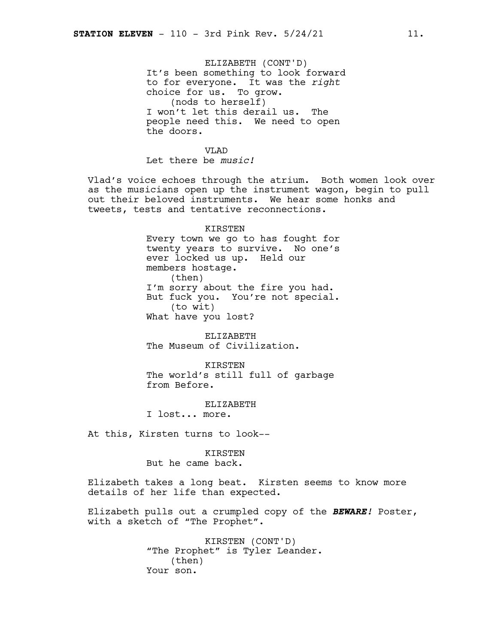ELIZABETH (CONT'D) It's been something to look forward to for everyone. It was the *right* choice for us. To grow. (nods to herself) I won't let this derail us. The people need this. We need to open the doors.

V<sub>L</sub>AD Let there be *music!*

Vlad's voice echoes through the atrium. Both women look over as the musicians open up the instrument wagon, begin to pull out their beloved instruments. We hear some honks and tweets, tests and tentative reconnections.

### KIRSTEN

Every town we go to has fought for twenty years to survive. No one's ever locked us up. Held our members hostage. (then) I'm sorry about the fire you had. But fuck you. You're not special. (to wit) What have you lost?

ELIZABETH The Museum of Civilization.

KIRSTEN The world's still full of garbage from Before.

### ELIZABETH

I lost... more.

At this, Kirsten turns to look--

KIRSTEN But he came back.

Elizabeth takes a long beat. Kirsten seems to know more details of her life than expected.

Elizabeth pulls out a crumpled copy of the *BEWARE!* Poster, with a sketch of "The Prophet".

> KIRSTEN (CONT'D) "The Prophet" is Tyler Leander. (then) Your son.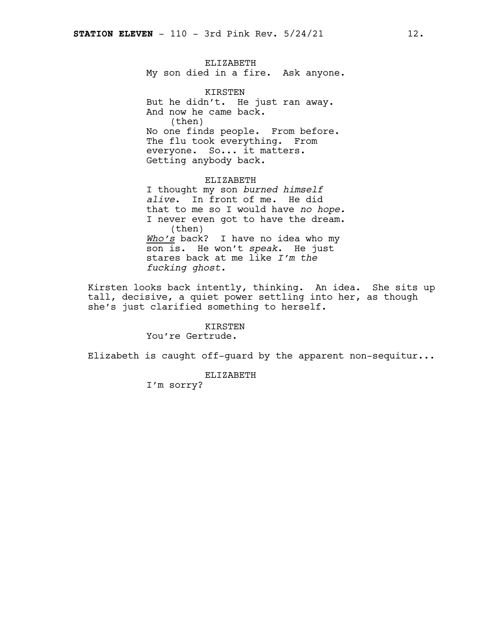ELIZABETH My son died in a fire. Ask anyone.

KIRSTEN But he didn't. He just ran away. And now he came back. (then) No one finds people. From before. The flu took everything. From everyone. So... it matters. Getting anybody back.

ELIZABETH I thought my son *burned himself alive*. In front of me. He did that to me so I would have *no hope.* I never even got to have the dream. (then) *Who's* back? I have no idea who my son is. He won't *speak*. He just stares back at me like *I'm the fucking ghost.*

Kirsten looks back intently, thinking. An idea. She sits up tall, decisive, a quiet power settling into her, as though she's just clarified something to herself.

### KIRSTEN

You're Gertrude.

Elizabeth is caught off-guard by the apparent non-sequitur...

ELIZABETH

I'm sorry?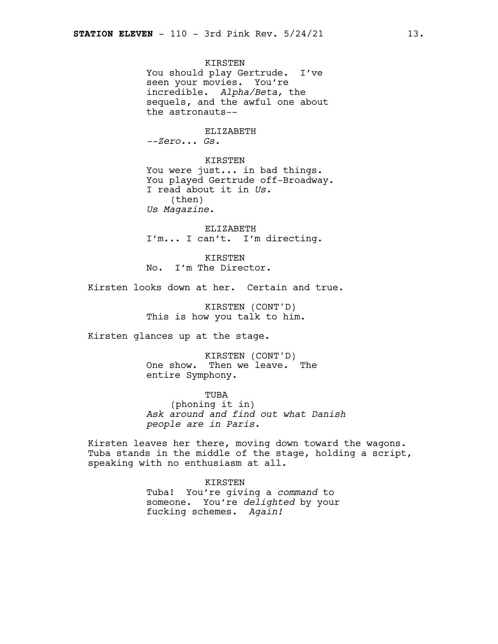KIRSTEN You should play Gertrude. I've seen your movies. You're incredible. *Alpha/Beta,* the sequels, and the awful one about the astronauts--

ELIZABETH *--Zero... Gs.*

KIRSTEN You were just... in bad things. You played Gertrude off-Broadway. I read about it in *Us.* (then) *Us Magazine.*

ELIZABETH I'm... I can't. I'm directing.

KIRSTEN No. I'm The Director.

Kirsten looks down at her. Certain and true.

KIRSTEN (CONT'D) This is how you talk to him.

Kirsten glances up at the stage.

KIRSTEN (CONT'D) One show. Then we leave. The entire Symphony.

TUBA (phoning it in) *Ask around and find out what Danish people are in Paris.*

Kirsten leaves her there, moving down toward the wagons. Tuba stands in the middle of the stage, holding a script, speaking with no enthusiasm at all.

> KIRSTEN Tuba! You're giving a *command* to someone. You're *delighted* by your fucking schemes. *Again!*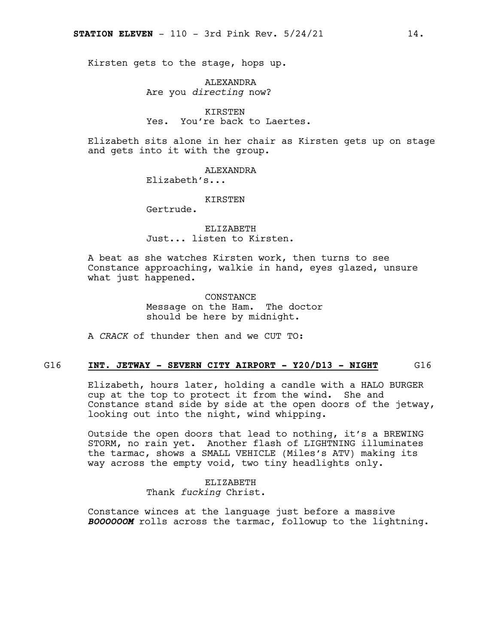Kirsten gets to the stage, hops up.

ALEXANDRA Are you *directing* now?

KIRSTEN Yes. You're back to Laertes.

Elizabeth sits alone in her chair as Kirsten gets up on stage and gets into it with the group.

**ALEXANDRA** 

Elizabeth's...

KIRSTEN

Gertrude.

ELIZABETH Just... listen to Kirsten.

A beat as she watches Kirsten work, then turns to see Constance approaching, walkie in hand, eyes glazed, unsure what just happened.

> **CONSTANCE** Message on the Ham. The doctor should be here by midnight.

A *CRACK* of thunder then and we CUT TO:

### G16 **INT. JETWAY - SEVERN CITY AIRPORT - Y20/D13 - NIGHT** G16

Elizabeth, hours later, holding a candle with a HALO BURGER cup at the top to protect it from the wind. She and Constance stand side by side at the open doors of the jetway, looking out into the night, wind whipping.

Outside the open doors that lead to nothing, it's a BREWING STORM, no rain yet. Another flash of LIGHTNING illuminates the tarmac, shows a SMALL VEHICLE (Miles's ATV) making its way across the empty void, two tiny headlights only.

> ELIZABETH Thank *fucking* Christ.

Constance winces at the language just before a massive *BOOOOOOM* rolls across the tarmac, followup to the lightning.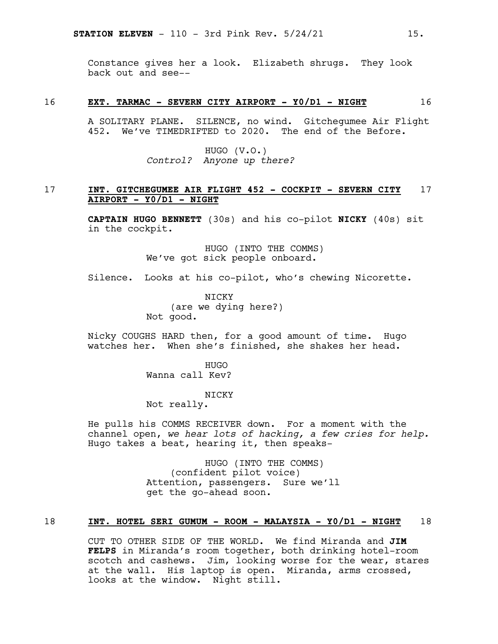Constance gives her a look. Elizabeth shrugs. They look back out and see--

### 16 **EXT. TARMAC - SEVERN CITY AIRPORT - Y0/D1 - NIGHT** 16

A SOLITARY PLANE. SILENCE, no wind. Gitchegumee Air Flight 452. We've TIMEDRIFTED to 2020. The end of the Before.

> HUGO (V.O.) *Control? Anyone up there?*

### 17 **INT. GITCHEGUMEE AIR FLIGHT 452 - COCKPIT - SEVERN CITY** 17 **AIRPORT - Y0/D1 - NIGHT**

**CAPTAIN HUGO BENNETT** (30s) and his co-pilot **NICKY** (40s) sit in the cockpit.

> HUGO (INTO THE COMMS) We've got sick people onboard.

Silence. Looks at his co-pilot, who's chewing Nicorette.

**NTCKY** (are we dying here?) Not good.

Nicky COUGHS HARD then, for a good amount of time. Hugo watches her. When she's finished, she shakes her head.

> HUGO Wanna call Kev?

> > NICKY

Not really.

He pulls his COMMS RECEIVER down. For a moment with the channel open, *we hear lots of hacking, a few cries for help.* Hugo takes a beat, hearing it, then speaks-

> HUGO (INTO THE COMMS) (confident pilot voice) Attention, passengers. Sure we'll get the go-ahead soon.

### 18 **INT. HOTEL SERI GUMUM - ROOM - MALAYSIA - Y0/D1 - NIGHT** 18

CUT TO OTHER SIDE OF THE WORLD. We find Miranda and **JIM FELPS** in Miranda's room together, both drinking hotel-room scotch and cashews. Jim, looking worse for the wear, stares at the wall. His laptop is open. Miranda, arms crossed, looks at the window. Night still.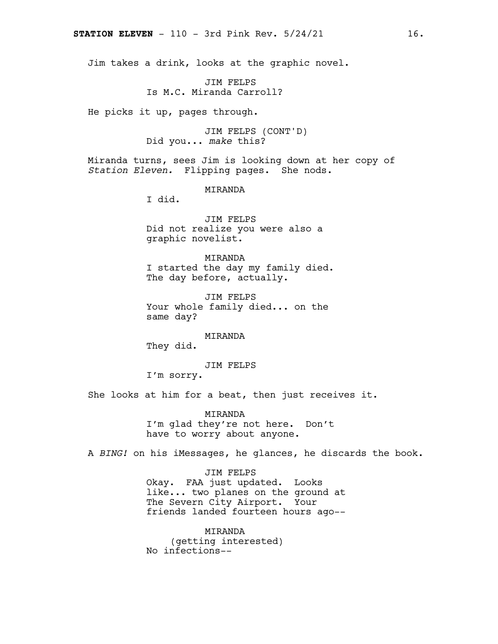Jim takes a drink, looks at the graphic novel.

JIM FELPS Is M.C. Miranda Carroll?

He picks it up, pages through.

JIM FELPS (CONT'D) Did you... *make* this?

Miranda turns, sees Jim is looking down at her copy of *Station Eleven.* Flipping pages. She nods.

MIRANDA

I did.

JIM FELPS Did not realize you were also a graphic novelist.

MIRANDA I started the day my family died. The day before, actually.

JIM FELPS Your whole family died... on the same day?

MIRANDA

They did.

JIM FELPS

I'm sorry.

She looks at him for a beat, then just receives it.

MIRANDA I'm glad they're not here. Don't have to worry about anyone.

A *BING!* on his iMessages, he glances, he discards the book.

JIM FELPS Okay. FAA just updated. Looks like... two planes on the ground at The Severn City Airport. Your friends landed fourteen hours ago--

MIRANDA (getting interested) No infections--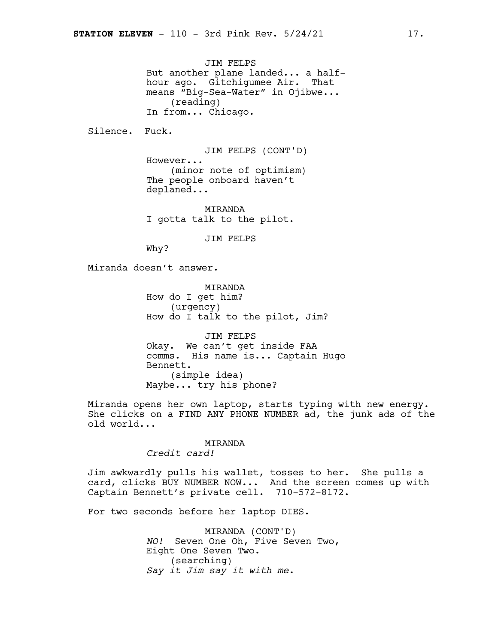JIM FELPS But another plane landed... a halfhour ago. Gitchigumee Air. That means "Big-Sea-Water" in Ojibwe... (reading) In from... Chicago.

Silence. Fuck.

JIM FELPS (CONT'D) However... (minor note of optimism) The people onboard haven't deplaned...

MIRANDA I gotta talk to the pilot.

JIM FELPS

Why?

Miranda doesn't answer.

MIRANDA How do I get him? (urgency) How do I talk to the pilot, Jim?

JIM FELPS Okay. We can't get inside FAA comms. His name is... Captain Hugo Bennett. (simple idea) Maybe... try his phone?

Miranda opens her own laptop, starts typing with new energy. She clicks on a FIND ANY PHONE NUMBER ad, the junk ads of the old world...

> MIRANDA *Credit card!*

Jim awkwardly pulls his wallet, tosses to her. She pulls a card, clicks BUY NUMBER NOW... And the screen comes up with Captain Bennett's private cell. 710-572-8172.

For two seconds before her laptop DIES.

MIRANDA (CONT'D) *NO!* Seven One Oh, Five Seven Two, Eight One Seven Two. (searching) *Say it Jim say it with me.*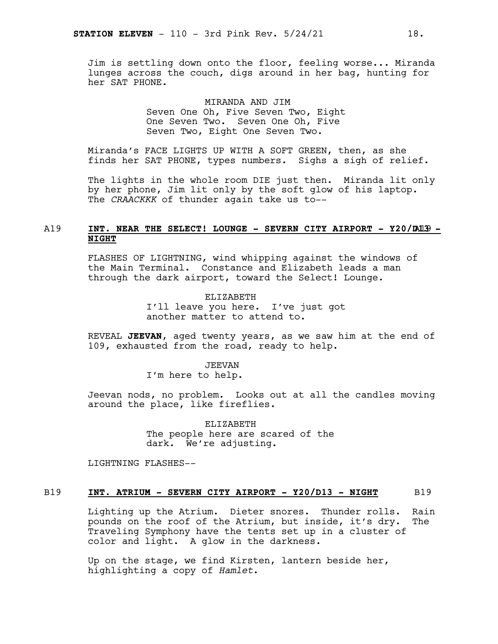Jim is settling down onto the floor, feeling worse... Miranda lunges across the couch, digs around in her bag, hunting for her SAT PHONE.

> MIRANDA AND JIM Seven One Oh, Five Seven Two, Eight One Seven Two. Seven One Oh, Five Seven Two, Eight One Seven Two.

Miranda's FACE LIGHTS UP WITH A SOFT GREEN, then, as she finds her SAT PHONE, types numbers. Sighs a sigh of relief.

The lights in the whole room DIE just then. Miranda lit only by her phone, Jim lit only by the soft glow of his laptop. The *CRAACKKK* of thunder again take us to--

### A19 **INT. NEAR THE SELECT! LOUNGE - SEVERN CITY AIRPORT - Y20/D**A19 **13 - NIGHT**

FLASHES OF LIGHTNING, wind whipping against the windows of the Main Terminal. Constance and Elizabeth leads a man through the dark airport, toward the Select! Lounge.

> ELIZABETH I'll leave you here. I've just got another matter to attend to.

REVEAL **JEEVAN**, aged twenty years, as we saw him at the end of 109, exhausted from the road, ready to help.

### JEEVAN

I'm here to help.

Jeevan nods, no problem. Looks out at all the candles moving around the place, like fireflies.

> ELIZABETH The people here are scared of the dark. We're adjusting.

LIGHTNING FLASHES--

### B19 **INT. ATRIUM - SEVERN CITY AIRPORT - Y20/D13 - NIGHT** B19

Lighting up the Atrium. Dieter snores. Thunder rolls. Rain pounds on the roof of the Atrium, but inside, it's dry. The Traveling Symphony have the tents set up in a cluster of color and light. A glow in the darkness.

Up on the stage, we find Kirsten, lantern beside her, highlighting a copy of *Hamlet*.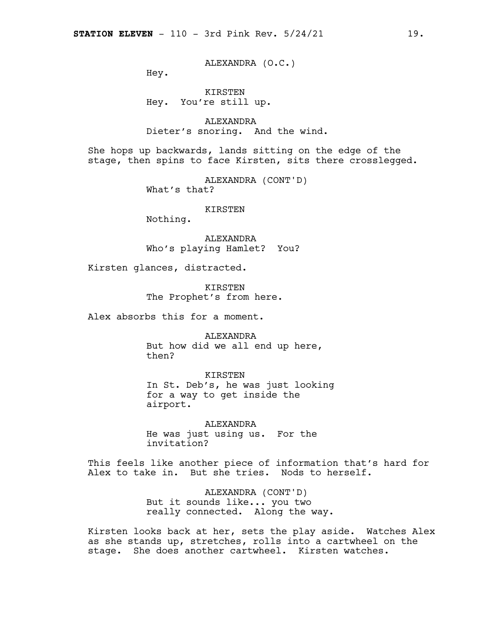ALEXANDRA (O.C.)

Hey.

KIRSTEN Hey. You're still up.

ALEXANDRA Dieter's snoring. And the wind.

She hops up backwards, lands sitting on the edge of the stage, then spins to face Kirsten, sits there crosslegged.

> ALEXANDRA (CONT'D) What's that?

> > KIRSTEN

Nothing.

ALEXANDRA Who's playing Hamlet? You?

Kirsten glances, distracted.

KIRSTEN The Prophet's from here.

Alex absorbs this for a moment.

ALEXANDRA But how did we all end up here, then?

KIRSTEN

In St. Deb's, he was just looking for a way to get inside the airport.

ALEXANDRA He was just using us. For the invitation?

This feels like another piece of information that's hard for Alex to take in. But she tries. Nods to herself.

> ALEXANDRA (CONT'D) But it sounds like... you two really connected. Along the way.

Kirsten looks back at her, sets the play aside. Watches Alex as she stands up, stretches, rolls into a cartwheel on the stage. She does another cartwheel. Kirsten watches.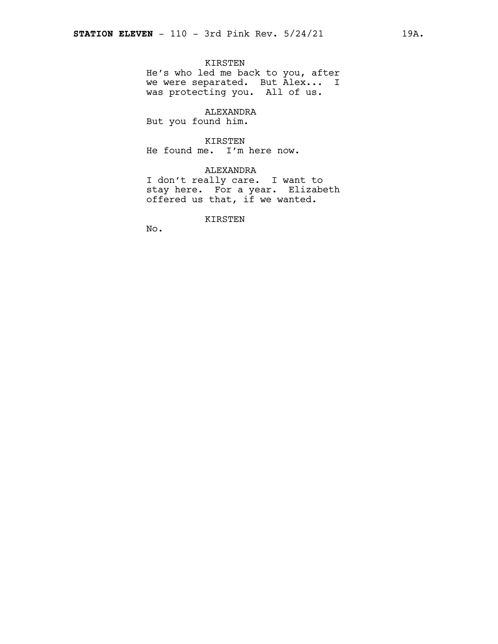### KIRSTEN

He's who led me back to you, after we were separated. But Alex... I was protecting you. All of us.

ALEXANDRA

But you found him.

### KIRSTEN

He found me. I'm here now.

### ALEXANDRA

I don't really care. I want to stay here. For a year. Elizabeth offered us that, if we wanted.

KIRSTEN

No.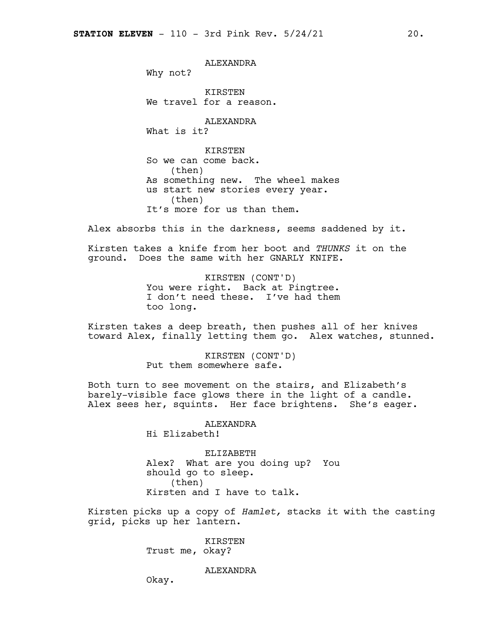ALEXANDRA

Why not?

KIRSTEN We travel for a reason.

ALEXANDRA

What is it?

**KIRSTEN** So we can come back. (then) As something new. The wheel makes us start new stories every year. (then) It's more for us than them.

Alex absorbs this in the darkness, seems saddened by it.

Kirsten takes a knife from her boot and *THUNKS* it on the ground. Does the same with her GNARLY KNIFE.

> KIRSTEN (CONT'D) You were right. Back at Pingtree. I don't need these. I've had them too long.

Kirsten takes a deep breath, then pushes all of her knives toward Alex, finally letting them go. Alex watches, stunned.

> KIRSTEN (CONT'D) Put them somewhere safe.

Both turn to see movement on the stairs, and Elizabeth's barely-visible face glows there in the light of a candle. Alex sees her, squints. Her face brightens. She's eager.

> ALEXANDRA Hi Elizabeth!

ELIZABETH Alex? What are you doing up? You should go to sleep. (then) Kirsten and I have to talk.

Kirsten picks up a copy of *Hamlet,* stacks it with the casting grid, picks up her lantern.

> KIRSTEN Trust me, okay?

> > ALEXANDRA

Okay.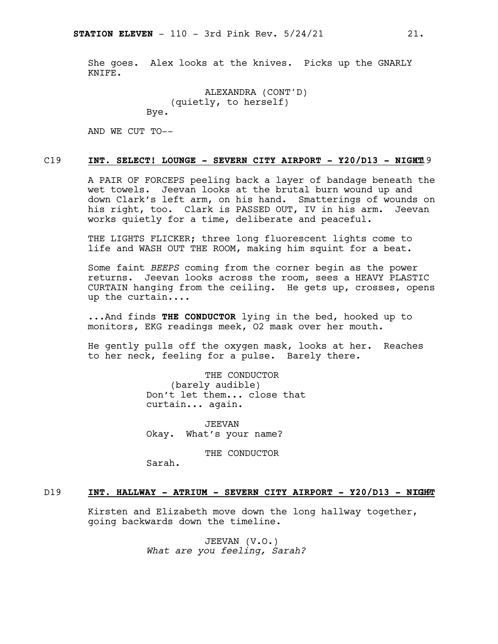She goes. Alex looks at the knives. Picks up the GNARLY KNIFE.

```
ALEXANDRA (CONT'D)
    (quietly, to herself)
Bye.
```
AND WE CUT TO--

### C19 **INT. SELECT! LOUNGE - SEVERN CITY AIRPORT - Y20/D13 - NIGH**C19 **T**

A PAIR OF FORCEPS peeling back a layer of bandage beneath the wet towels. Jeevan looks at the brutal burn wound up and down Clark's left arm, on his hand. Smatterings of wounds on his right, too. Clark is PASSED OUT, IV in his arm. Jeevan works quietly for a time, deliberate and peaceful.

THE LIGHTS FLICKER; three long fluorescent lights come to life and WASH OUT THE ROOM, making him squint for a beat.

Some faint *BEEPS* coming from the corner begin as the power returns. Jeevan looks across the room, sees a HEAVY PLASTIC CURTAIN hanging from the ceiling. He gets up, crosses, opens up the curtain....

...And finds **THE CONDUCTOR** lying in the bed, hooked up to monitors, EKG readings meek, O2 mask over her mouth.

He gently pulls off the oxygen mask, looks at her. Reaches to her neck, feeling for a pulse. Barely there.

> THE CONDUCTOR (barely audible) Don't let them... close that curtain... again.

JEEVAN Okay. What's your name?

THE CONDUCTOR

Sarah.

### D19 **INT. HALLWAY - ATRIUM - SEVERN CITY AIRPORT - Y20/D13 - NI**D19 **GHT**

Kirsten and Elizabeth move down the long hallway together, going backwards down the timeline.

> JEEVAN (V.O.) *What are you feeling, Sarah?*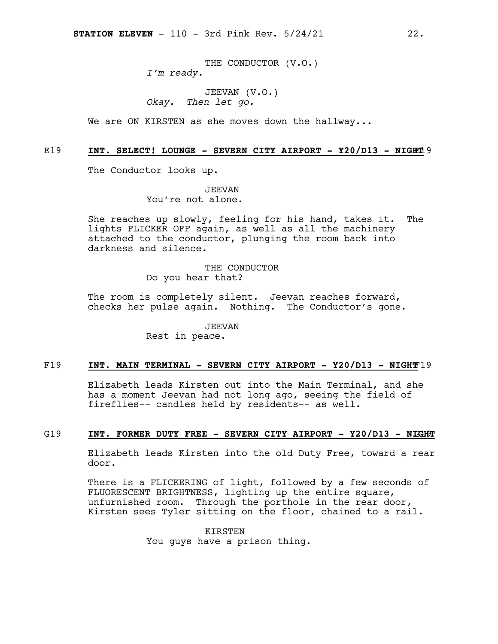THE CONDUCTOR (V.O.) *I'm ready.*

JEEVAN (V.O.) *Okay. Then let go.*

We are ON KIRSTEN as she moves down the hallway...

### E19 **INT. SELECT! LOUNGE - SEVERN CITY AIRPORT - Y20/D13 - NIGH**E19 **T**

The Conductor looks up.

JEEVAN

You're not alone.

She reaches up slowly, feeling for his hand, takes it. The lights FLICKER OFF again, as well as all the machinery attached to the conductor, plunging the room back into darkness and silence.

> THE CONDUCTOR Do you hear that?

The room is completely silent. Jeevan reaches forward, checks her pulse again. Nothing. The Conductor's gone.

> JEEVAN Rest in peace.

### F19 **INT. MAIN TERMINAL - SEVERN CITY AIRPORT - Y20/D13 - NIGHT**F19

Elizabeth leads Kirsten out into the Main Terminal, and she has a moment Jeevan had not long ago, seeing the field of fireflies-- candles held by residents-- as well.

### G19 **INT. FORMER DUTY FREE - SEVERN CITY AIRPORT - Y20/D13 - NI**G19 **GHT**

Elizabeth leads Kirsten into the old Duty Free, toward a rear door.

There is a FLICKERING of light, followed by a few seconds of FLUORESCENT BRIGHTNESS, lighting up the entire square, unfurnished room. Through the porthole in the rear door, Kirsten sees Tyler sitting on the floor, chained to a rail.

> KIRSTEN You guys have a prison thing.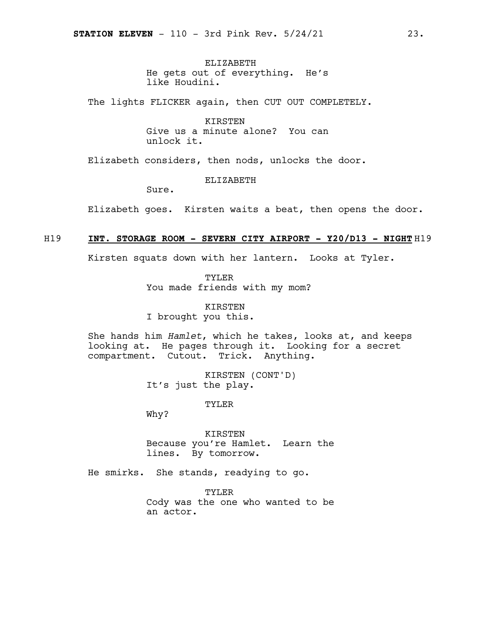ELIZABETH He gets out of everything. He's like Houdini.

The lights FLICKER again, then CUT OUT COMPLETELY.

KIRSTEN Give us a minute alone? You can unlock it.

Elizabeth considers, then nods, unlocks the door.

ELIZABETH

Sure.

Elizabeth goes. Kirsten waits a beat, then opens the door.

### H19 **INT. STORAGE ROOM - SEVERN CITY AIRPORT - Y20/D13 - NIGHT** H19

Kirsten squats down with her lantern. Looks at Tyler.

TYLER You made friends with my mom?

KIRSTEN I brought you this.

She hands him *Hamlet*, which he takes, looks at, and keeps looking at. He pages through it. Looking for a secret compartment. Cutout. Trick. Anything.

> KIRSTEN (CONT'D) It's just the play.

> > TYLER

Why?

KIRSTEN Because you're Hamlet. Learn the lines. By tomorrow.

He smirks. She stands, readying to go.

TYLER

Cody was the one who wanted to be an actor.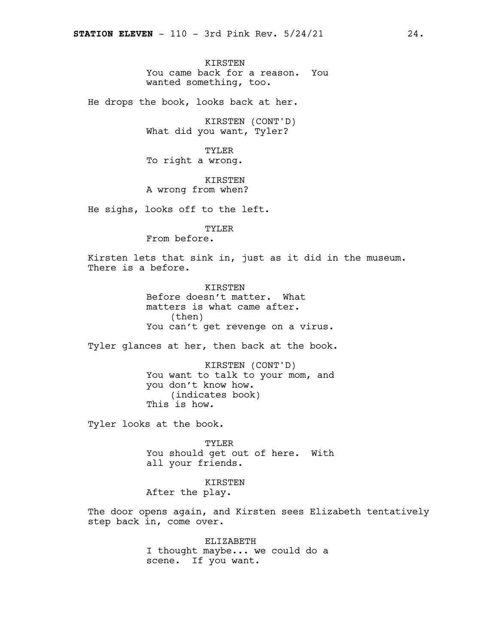**KIRSTEN** You came back for a reason. You wanted something, too.

He drops the book, looks back at her.

KIRSTEN (CONT'D) What did you want, Tyler?

TYLER To right a wrong.

KIRSTEN A wrong from when?

He sighs, looks off to the left.

TYLER

From before.

Kirsten lets that sink in, just as it did in the museum. There is a before.

> KIRSTEN Before doesn't matter. What matters is what came after. (then) You can't get revenge on a virus.

Tyler glances at her, then back at the book.

KIRSTEN (CONT'D) You want to talk to your mom, and you don't know how. (indicates book) This is how.

Tyler looks at the book.

TYLER You should get out of here. With all your friends.

KIRSTEN After the play.

The door opens again, and Kirsten sees Elizabeth tentatively step back in, come over.

> ELIZABETH I thought maybe... we could do a scene. If you want.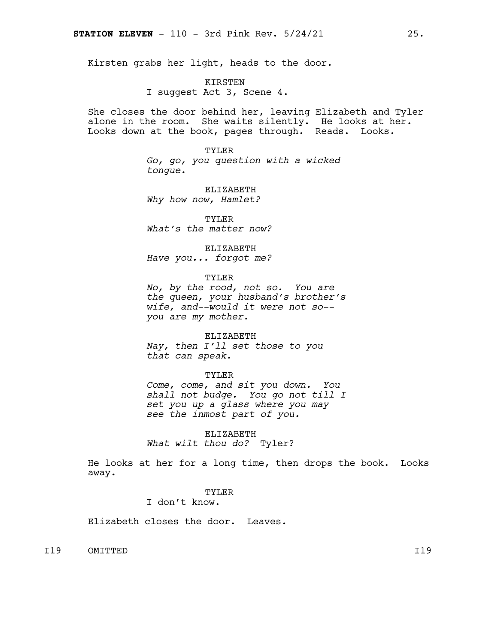Kirsten grabs her light, heads to the door.

KIRSTEN I suggest Act 3, Scene 4.

She closes the door behind her, leaving Elizabeth and Tyler alone in the room. She waits silently. He looks at her. Looks down at the book, pages through. Reads. Looks.

> TYLER *Go, go, you question with a wicked tongue.*

ELIZABETH *Why how now, Hamlet?*

TYLER *What's the matter now?*

ELIZABETH *Have you... forgot me?*

TYLER

*No, by the rood, not so. You are the queen, your husband's brother's wife, and--would it were not so- you are my mother.*

ELIZABETH *Nay, then I'll set those to you that can speak.*

### TYLER

*Come, come, and sit you down. You shall not budge. You go not till I set you up a glass where you may see the inmost part of you.*

ELIZABETH *What wilt thou do?* Tyler?

He looks at her for a long time, then drops the book. Looks away.

### TYLER

I don't know.

Elizabeth closes the door. Leaves.

I19 OMITTED I19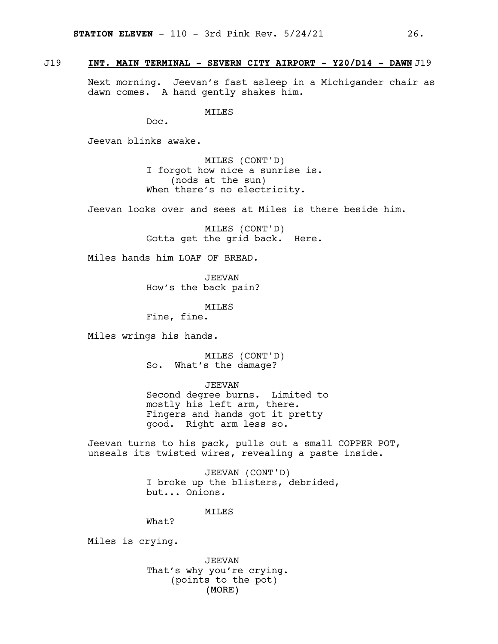### J19 **INT. MAIN TERMINAL - SEVERN CITY AIRPORT - Y20/D14 - DAWN** J19

Next morning. Jeevan's fast asleep in a Michigander chair as dawn comes. A hand gently shakes him.

MILES

Doc.

Jeevan blinks awake.

MILES (CONT'D) I forgot how nice a sunrise is. (nods at the sun) When there's no electricity.

Jeevan looks over and sees at Miles is there beside him.

MILES (CONT'D) Gotta get the grid back. Here.

Miles hands him LOAF OF BREAD.

JEEVAN How's the back pain?

MILES

Fine, fine.

Miles wrings his hands.

MILES (CONT'D) So. What's the damage?

JEEVAN

Second degree burns. Limited to mostly his left arm, there. Fingers and hands got it pretty good. Right arm less so.

Jeevan turns to his pack, pulls out a small COPPER POT, unseals its twisted wires, revealing a paste inside.

> JEEVAN (CONT'D) I broke up the blisters, debrided, but... Onions.

> > **MTT.ES**

What?

Miles is crying.

(MORE) JEEVAN That's why you're crying. (points to the pot)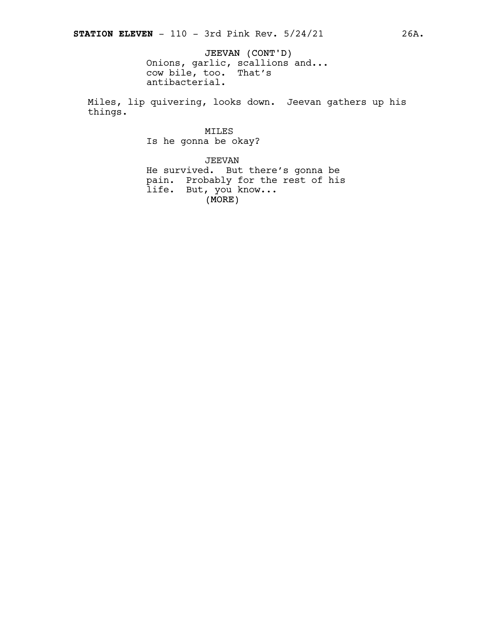JEEVAN (CONT'D) Onions, garlic, scallions and... cow bile, too. That's antibacterial.

Miles, lip quivering, looks down. Jeevan gathers up his things.

MILES

Is he gonna be okay?

 $(MORE)$ JEEVAN He survived. But there's gonna be pain. Probably for the rest of his life. But, you know...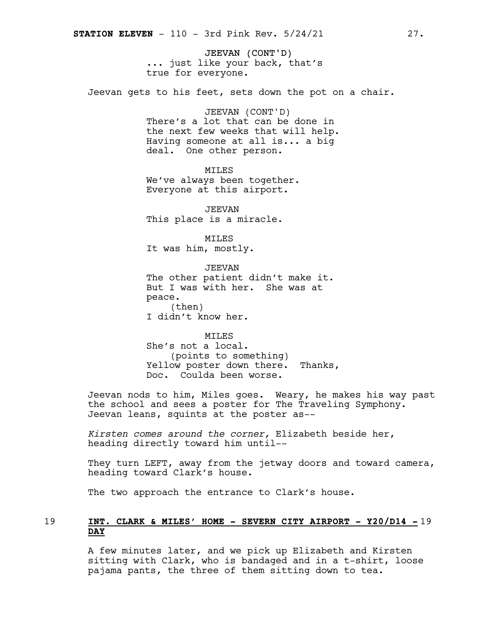JEEVAN (CONT'D) ... just like your back, that's true for everyone.

Jeevan gets to his feet, sets down the pot on a chair.

JEEVAN (CONT'D) There's a lot that can be done in the next few weeks that will help. Having someone at all is... a big deal. One other person.

MILES

We've always been together. Everyone at this airport.

JEEVAN This place is a miracle.

MILES It was him, mostly.

JEEVAN The other patient didn't make it. But I was with her. She was at peace. (then) I didn't know her.

MILES She's not a local. (points to something) Yellow poster down there. Thanks, Doc. Coulda been worse.

Jeevan nods to him, Miles goes. Weary, he makes his way past the school and sees a poster for The Traveling Symphony. Jeevan leans, squints at the poster as--

*Kirsten comes around the corner,* Elizabeth beside her, heading directly toward him until--

They turn LEFT, away from the jetway doors and toward camera, heading toward Clark's house.

The two approach the entrance to Clark's house.

### 19 **INT. CLARK & MILES' HOME - SEVERN CITY AIRPORT - Y20/D14 -** 19 **DAY**

A few minutes later, and we pick up Elizabeth and Kirsten sitting with Clark, who is bandaged and in a t-shirt, loose pajama pants, the three of them sitting down to tea.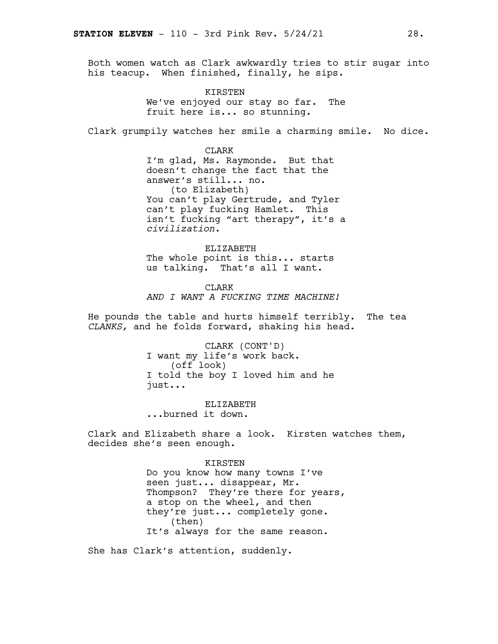Both women watch as Clark awkwardly tries to stir sugar into his teacup. When finished, finally, he sips.

> KIRSTEN We've enjoyed our stay so far. The fruit here is... so stunning.

Clark grumpily watches her smile a charming smile. No dice.

CLARK I'm glad, Ms. Raymonde. But that doesn't change the fact that the answer's still... no. (to Elizabeth) You can't play Gertrude, and Tyler can't play fucking Hamlet. This isn't fucking "art therapy", it's a *civilization*.

ELIZABETH The whole point is this... starts us talking. That's all I want.

CLARK *AND I WANT A FUCKING TIME MACHINE!*

He pounds the table and hurts himself terribly. The tea *CLANKS,* and he folds forward, shaking his head.

> CLARK (CONT'D) I want my life's work back. (off look) I told the boy I loved him and he just...

ELIZABETH ...burned it down.

Clark and Elizabeth share a look. Kirsten watches them, decides she's seen enough.

> KIRSTEN Do you know how many towns I've seen just... disappear, Mr. Thompson? They're there for years, a stop on the wheel, and then they're just... completely gone. (then) It's always for the same reason.

She has Clark's attention, suddenly.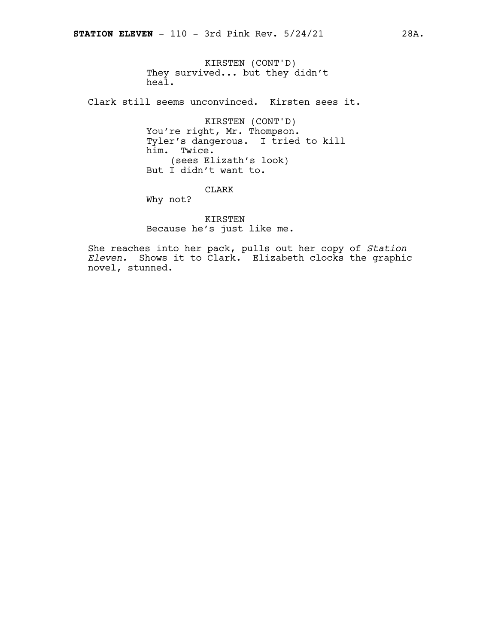KIRSTEN (CONT'D) They survived... but they didn't heal.

Clark still seems unconvinced. Kirsten sees it.

KIRSTEN (CONT'D) You're right, Mr. Thompson. Tyler's dangerous. I tried to kill him. Twice. (sees Elizath's look) But I didn't want to.

CLARK

Why not?

KIRSTEN Because he's just like me.

She reaches into her pack, pulls out her copy of *Station Eleven.* Shows it to Clark. Elizabeth clocks the graphic novel, stunned.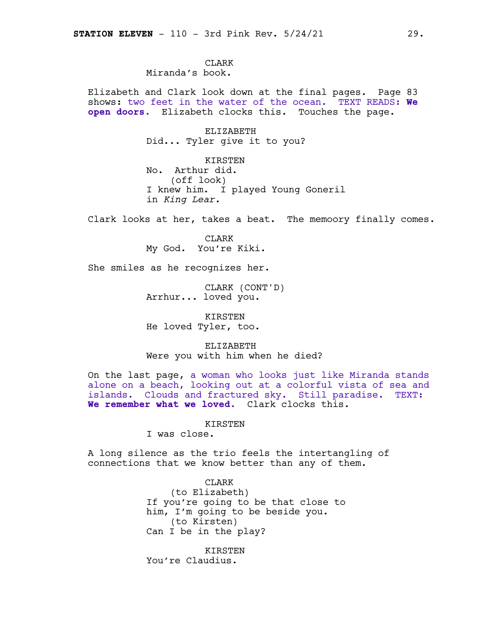**CLARK** Miranda's book.

Elizabeth and Clark look down at the final pages. Page 83 shows: two feet in the water of the ocean. TEXT READS: **We open doors.** Elizabeth clocks this. Touches the page.

> ELIZABETH Did... Tyler give it to you?

KIRSTEN No. Arthur did. (off look) I knew him. I played Young Goneril in *King Lear.*

Clark looks at her, takes a beat. The memoory finally comes.

CLARK My God. You're Kiki.

She smiles as he recognizes her.

CLARK (CONT'D) Arrhur... loved you.

KIRSTEN He loved Tyler, too.

ELIZABETH Were you with him when he died?

On the last page, a woman who looks just like Miranda stands alone on a beach, looking out at a colorful vista of sea and islands. Clouds and fractured sky. Still paradise. TEXT: **We remember what we loved.** Clark clocks this.

**KIRSTEN** 

I was close.

A long silence as the trio feels the intertangling of connections that we know better than any of them.

> CLARK (to Elizabeth) If you're going to be that close to him, I'm going to be beside you. (to Kirsten) Can I be in the play?

KIRSTEN You're Claudius.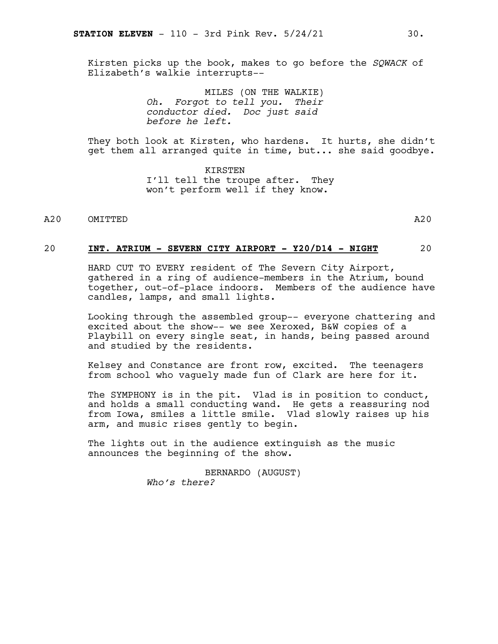Kirsten picks up the book, makes to go before the *SQWACK* of Elizabeth's walkie interrupts--

> MILES (ON THE WALKIE) *Oh. Forgot to tell you. Their conductor died. Doc just said before he left.*

They both look at Kirsten, who hardens. It hurts, she didn't get them all arranged quite in time, but... she said goodbye.

> KIRSTEN I'll tell the troupe after. They won't perform well if they know.

### A20 OMITTED A20

### 20 **INT. ATRIUM - SEVERN CITY AIRPORT - Y20/D14 - NIGHT** 20

HARD CUT TO EVERY resident of The Severn City Airport, gathered in a ring of audience-members in the Atrium, bound together, out-of-place indoors. Members of the audience have candles, lamps, and small lights.

Looking through the assembled group-- everyone chattering and excited about the show-- we see Xeroxed, B&W copies of a Playbill on every single seat, in hands, being passed around and studied by the residents.

Kelsey and Constance are front row, excited. The teenagers from school who vaguely made fun of Clark are here for it.

The SYMPHONY is in the pit. Vlad is in position to conduct, and holds a small conducting wand. He gets a reassuring nod from Iowa, smiles a little smile. Vlad slowly raises up his arm, and music rises gently to begin.

The lights out in the audience extinguish as the music announces the beginning of the show.

> BERNARDO (AUGUST) *Who's there?*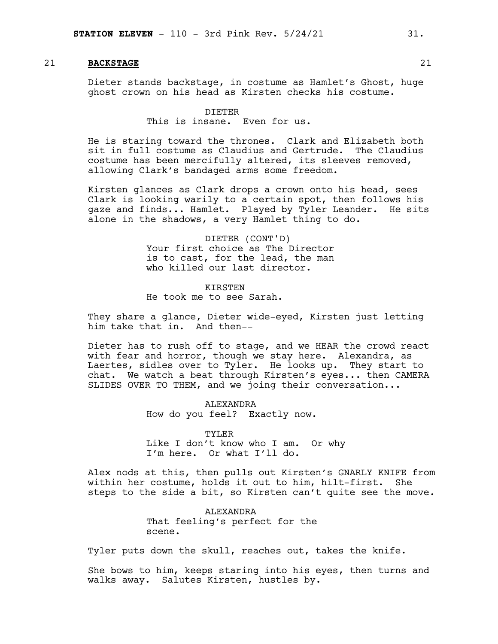### 21 **BACKSTAGE** 21

Dieter stands backstage, in costume as Hamlet's Ghost, huge ghost crown on his head as Kirsten checks his costume.

### DIETER

This is insane. Even for us.

He is staring toward the thrones. Clark and Elizabeth both sit in full costume as Claudius and Gertrude. The Claudius costume has been mercifully altered, its sleeves removed, allowing Clark's bandaged arms some freedom.

Kirsten glances as Clark drops a crown onto his head, sees Clark is looking warily to a certain spot, then follows his gaze and finds... Hamlet. Played by Tyler Leander. He sits alone in the shadows, a very Hamlet thing to do.

> DIETER (CONT'D) Your first choice as The Director is to cast, for the lead, the man who killed our last director.

KIRSTEN He took me to see Sarah.

They share a glance, Dieter wide-eyed, Kirsten just letting him take that in. And then--

Dieter has to rush off to stage, and we HEAR the crowd react with fear and horror, though we stay here. Alexandra, as Laertes, sidles over to Tyler. He looks up. They start to chat. We watch a beat through Kirsten's eyes... then CAMERA SLIDES OVER TO THEM, and we joing their conversation...

> ALEXANDRA How do you feel? Exactly now.

TYLER Like I don't know who I am. Or why I'm here. Or what I'll do.

Alex nods at this, then pulls out Kirsten's GNARLY KNIFE from within her costume, holds it out to him, hilt-first. She steps to the side a bit, so Kirsten can't quite see the move.

> ALEXANDRA That feeling's perfect for the scene.

Tyler puts down the skull, reaches out, takes the knife.

She bows to him, keeps staring into his eyes, then turns and walks away. Salutes Kirsten, hustles by.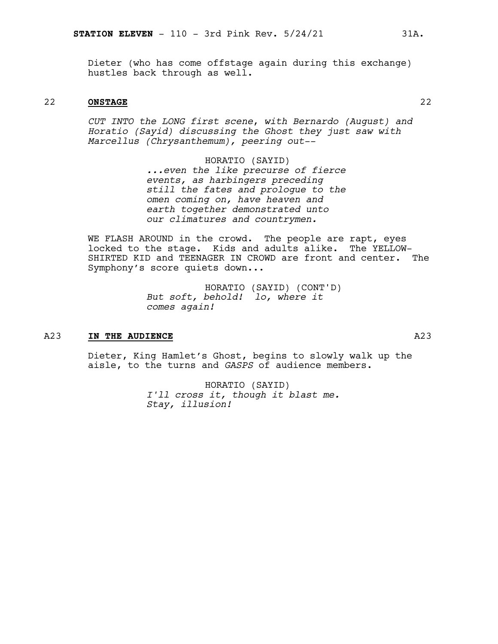Dieter (who has come offstage again during this exchange) hustles back through as well.

### 22 **ONSTAGE** 22

*CUT INTO the LONG first scene*, *with Bernardo (August) and Horatio (Sayid) discussing the Ghost they just saw with Marcellus (Chrysanthemum), peering out--*

> HORATIO (SAYID) *...even the like precurse of fierce events, as harbingers preceding still the fates and prologue to the omen coming on, have heaven and earth together demonstrated unto our climatures and countrymen.*

WE FLASH AROUND in the crowd. The people are rapt, eyes locked to the stage. Kids and adults alike. The YELLOW-SHIRTED KID and TEENAGER IN CROWD are front and center. The Symphony's score quiets down...

> HORATIO (SAYID) (CONT'D) *But soft, behold! lo, where it comes again!*

### A23 **IN THE AUDIENCE** A23

Dieter, King Hamlet's Ghost, begins to slowly walk up the aisle, to the turns and *GASPS* of audience members.

> HORATIO (SAYID) *I'll cross it, though it blast me. Stay, illusion!*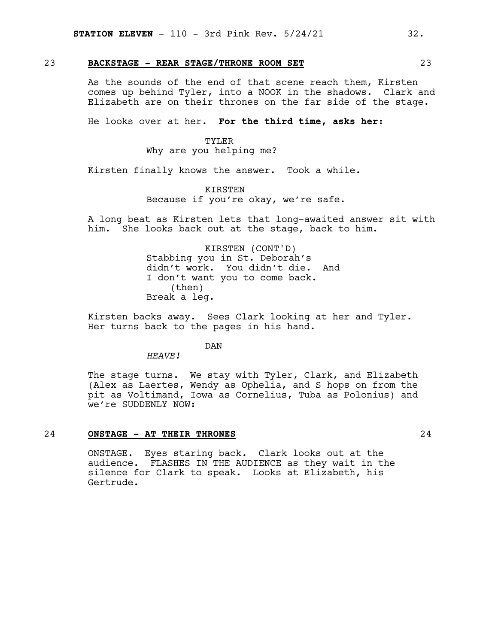### 23 **BACKSTAGE - REAR STAGE/THRONE ROOM SET** 23

As the sounds of the end of that scene reach them, Kirsten comes up behind Tyler, into a NOOK in the shadows. Clark and Elizabeth are on their thrones on the far side of the stage.

He looks over at her. **For the third time, asks her:**

### TYLER

Why are you helping me?

Kirsten finally knows the answer. Took a while.

### **KIRSTEN** Because if you're okay, we're safe.

A long beat as Kirsten lets that long-awaited answer sit with him. She looks back out at the stage, back to him.

> KIRSTEN (CONT'D) Stabbing you in St. Deborah's didn't work. You didn't die. And I don't want you to come back. (then) Break a leg.

Kirsten backs away. Sees Clark looking at her and Tyler. Her turns back to the pages in his hand.

### DAN

*HEAVE!*

The stage turns. We stay with Tyler, Clark, and Elizabeth (Alex as Laertes, Wendy as Ophelia, and S hops on from the pit as Voltimand, Iowa as Cornelius, Tuba as Polonius) and we're SUDDENLY NOW:

### 24 **ONSTAGE - AT THEIR THRONES** 24

ONSTAGE. Eyes staring back. Clark looks out at the audience. FLASHES IN THE AUDIENCE as they wait in the silence for Clark to speak. Looks at Elizabeth, his Gertrude.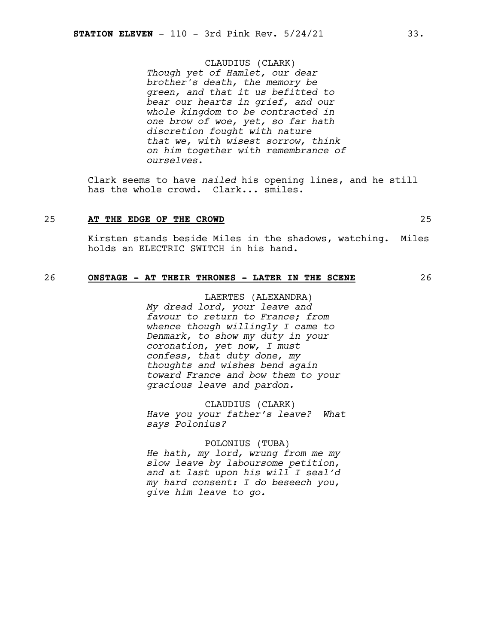### CLAUDIUS (CLARK)

*Though yet of Hamlet, our dear brother's death, the memory be green, and that it us befitted to bear our hearts in grief, and our whole kingdom to be contracted in one brow of woe, yet, so far hath discretion fought with nature that we, with wisest sorrow, think on him together with remembrance of ourselves.*

Clark seems to have *nailed* his opening lines, and he still has the whole crowd. Clark... smiles.

### 25 **AT THE EDGE OF THE CROWD** 25

Kirsten stands beside Miles in the shadows, watching. Miles holds an ELECTRIC SWITCH in his hand.

### 26 **ONSTAGE - AT THEIR THRONES - LATER IN THE SCENE** 26

LAERTES (ALEXANDRA) *My dread lord, your leave and favour to return to France; from whence though willingly I came to Denmark, to show my duty in your coronation, yet now, I must confess, that duty done, my thoughts and wishes bend again toward France and bow them to your gracious leave and pardon.*

CLAUDIUS (CLARK) *Have you your father's leave? What says Polonius?*

### POLONIUS (TUBA)

*He hath, my lord, wrung from me my slow leave by laboursome petition, and at last upon his will I seal'd my hard consent: I do beseech you, give him leave to go.*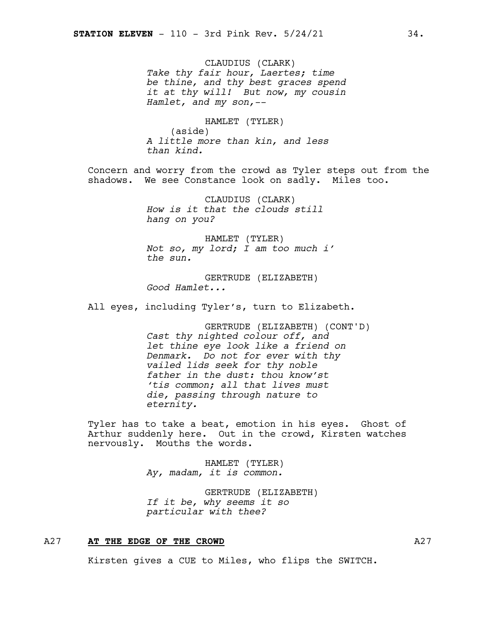CLAUDIUS (CLARK) *Take thy fair hour, Laertes; time be thine, and thy best graces spend it at thy will! But now, my cousin Hamlet, and my son,--*

HAMLET (TYLER) (aside) *A little more than kin, and less than kind.*

Concern and worry from the crowd as Tyler steps out from the shadows. We see Constance look on sadly. Miles too.

> CLAUDIUS (CLARK) *How is it that the clouds still hang on you?*

HAMLET (TYLER) *Not so, my lord; I am too much i' the sun.*

GERTRUDE (ELIZABETH) *Good Hamlet...*

All eyes, including Tyler's, turn to Elizabeth.

GERTRUDE (ELIZABETH) (CONT'D) *Cast thy nighted colour off, and let thine eye look like a friend on Denmark. Do not for ever with thy vailed lids seek for thy noble father in the dust: thou know'st 'tis common; all that lives must die, passing through nature to eternity.*

Tyler has to take a beat, emotion in his eyes. Ghost of Arthur suddenly here. Out in the crowd, Kirsten watches nervously. Mouths the words.

> HAMLET (TYLER) *Ay, madam, it is common.*

GERTRUDE (ELIZABETH) *If it be, why seems it so particular with thee?*

### A27 **AT THE EDGE OF THE CROWD** A27

Kirsten gives a CUE to Miles, who flips the SWITCH.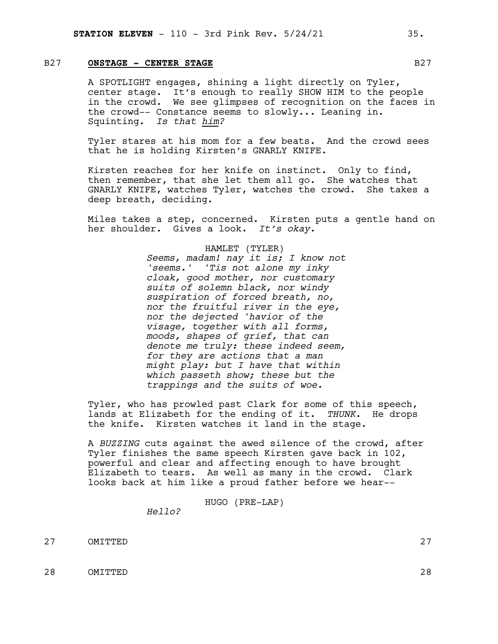### B27 **ONSTAGE - CENTER STAGE** B27

A SPOTLIGHT engages, shining a light directly on Tyler, center stage. It's enough to really SHOW HIM to the people in the crowd. We see glimpses of recognition on the faces in the crowd-- Constance seems to slowly... Leaning in. Squinting. *Is that him?*

Tyler stares at his mom for a few beats. And the crowd sees that he is holding Kirsten's GNARLY KNIFE.

Kirsten reaches for her knife on instinct. Only to find, then remember, that she let them all go. She watches that GNARLY KNIFE, watches Tyler, watches the crowd. She takes a deep breath, deciding.

Miles takes a step, concerned. Kirsten puts a gentle hand on her shoulder. Gives a look. *It's okay.*

### HAMLET (TYLER)

*Seems, madam! nay it is; I know not 'seems.' 'Tis not alone my inky cloak, good mother, nor customary suits of solemn black, nor windy suspiration of forced breath, no, nor the fruitful river in the eye, nor the dejected 'havior of the visage, together with all forms, moods, shapes of grief, that can denote me truly: these indeed seem, for they are actions that a man might play: but I have that within which passeth show; these but the trappings and the suits of woe.*

Tyler, who has prowled past Clark for some of this speech, lands at Elizabeth for the ending of it. *THUNK.* He drops the knife. Kirsten watches it land in the stage.

A *BUZZING* cuts against the awed silence of the crowd, after Tyler finishes the same speech Kirsten gave back in 102, powerful and clear and affecting enough to have brought Elizabeth to tears. As well as many in the crowd. Clark looks back at him like a proud father before we hear--

HUGO (PRE-LAP)

*Hello?*

27 OMITTED 27

28 OMITTED 28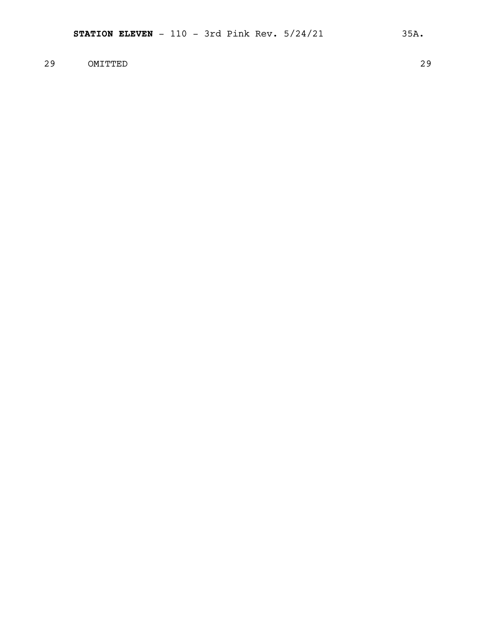### 29 OMITTED 29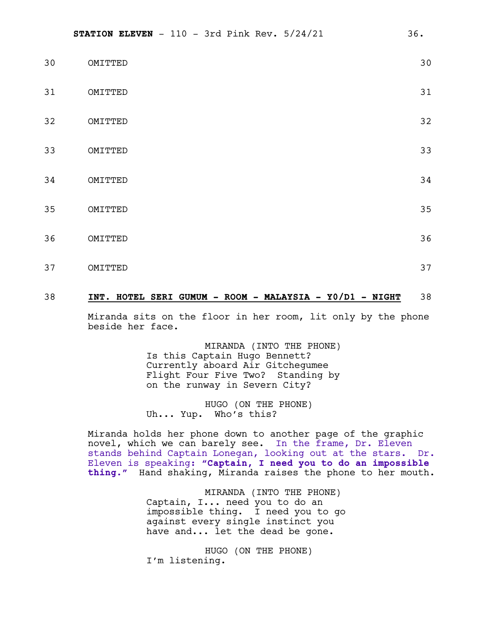| 30 | OMITTED | 30 |
|----|---------|----|
| 31 | OMITTED | 31 |
| 32 | OMITTED | 32 |
| 33 | OMITTED | 33 |
| 34 | OMITTED | 34 |
| 35 | OMITTED | 35 |
| 36 | OMITTED | 36 |
| 37 | OMITTED | 37 |

### 38 **INT. HOTEL SERI GUMUM - ROOM - MALAYSIA - Y0/D1 - NIGHT** 38

Miranda sits on the floor in her room, lit only by the phone beside her face.

> MIRANDA (INTO THE PHONE) Is this Captain Hugo Bennett? Currently aboard Air Gitchegumee Flight Four Five Two? Standing by on the runway in Severn City?

HUGO (ON THE PHONE) Uh... Yup. Who's this?

Miranda holds her phone down to another page of the graphic novel, which we can barely see. In the frame, Dr. Eleven stands behind Captain Lonegan, looking out at the stars. Dr. Eleven is speaking: **"Captain, I need you to do an impossible thing."** Hand shaking, Miranda raises the phone to her mouth.

> MIRANDA (INTO THE PHONE) Captain, I... need you to do an impossible thing. I need you to go against every single instinct you have and... let the dead be gone.

HUGO (ON THE PHONE) I'm listening.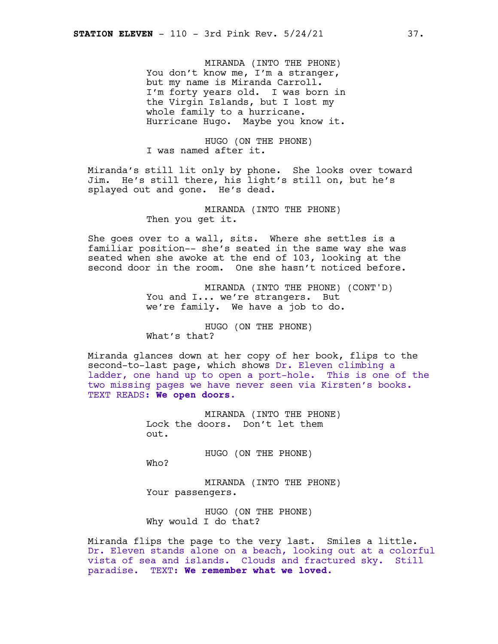MIRANDA (INTO THE PHONE) You don't know me, I'm a stranger, but my name is Miranda Carroll. I'm forty years old. I was born in the Virgin Islands, but I lost my whole family to a hurricane. Hurricane Hugo. Maybe you know it.

HUGO (ON THE PHONE) I was named after it.

Miranda's still lit only by phone. She looks over toward Jim. He's still there, his light's still on, but he's splayed out and gone. He's dead.

> MIRANDA (INTO THE PHONE) Then you get it.

She goes over to a wall, sits. Where she settles is a familiar position-- she's seated in the same way she was seated when she awoke at the end of 103, looking at the second door in the room. One she hasn't noticed before.

> MIRANDA (INTO THE PHONE) (CONT'D) You and I... we're strangers. But we're family. We have a job to do.

HUGO (ON THE PHONE) What's that?

Miranda glances down at her copy of her book, flips to the second-to-last page, which shows Dr. Eleven climbing a ladder, one hand up to open a port-hole. This is one of the two missing pages we have never seen via Kirsten's books. TEXT READS: **We open doors.**

> MIRANDA (INTO THE PHONE) Lock the doors. Don't let them out.

> > HUGO (ON THE PHONE)

Who?

MIRANDA (INTO THE PHONE) Your passengers.

HUGO (ON THE PHONE) Why would I do that?

Miranda flips the page to the very last. Smiles a little. Dr. Eleven stands alone on a beach, looking out at a colorful vista of sea and islands. Clouds and fractured sky. Still paradise. TEXT: **We remember what we loved.**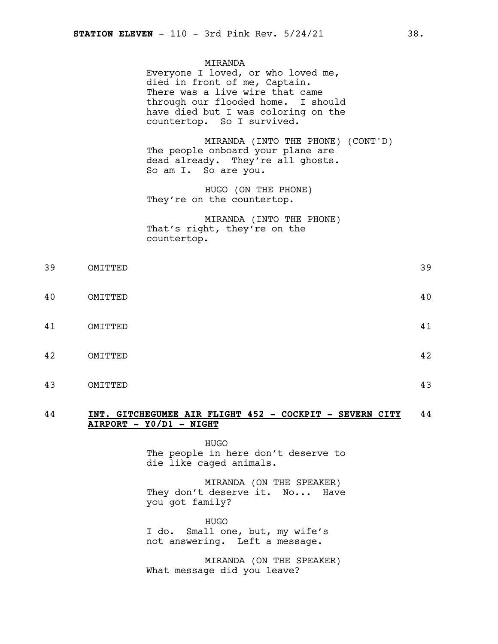MIRANDA Everyone I loved, or who loved me, died in front of me, Captain. There was a live wire that came through our flooded home. I should have died but I was coloring on the countertop. So I survived.

MIRANDA (INTO THE PHONE) (CONT'D) The people onboard your plane are dead already. They're all ghosts. So am I. So are you.

HUGO (ON THE PHONE) They're on the countertop.

MIRANDA (INTO THE PHONE) That's right, they're on the countertop.

| 39 | OMITTED | 39 |
|----|---------|----|
| 40 | OMITTED | 40 |
| 41 | OMITTED | 41 |
| 42 | OMITTED | 42 |
| 43 | OMITTED | 43 |

### 44 **INT. GITCHEGUMEE AIR FLIGHT 452 - COCKPIT - SEVERN CITY** 44 **AIRPORT - Y0/D1 - NIGHT**

HUGO The people in here don't deserve to die like caged animals.

MIRANDA (ON THE SPEAKER) They don't deserve it. No... Have you got family?

HUGO I do. Small one, but, my wife's not answering. Left a message.

MIRANDA (ON THE SPEAKER) What message did you leave?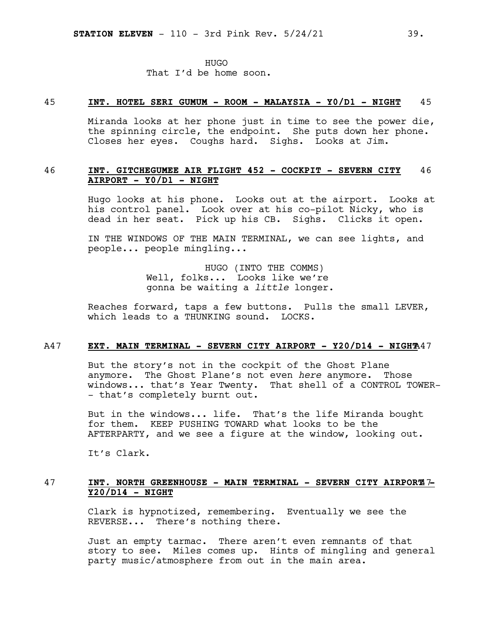### 45 **INT. HOTEL SERI GUMUM - ROOM - MALAYSIA - Y0/D1 - NIGHT** 45

Miranda looks at her phone just in time to see the power die, the spinning circle, the endpoint. She puts down her phone. Closes her eyes. Coughs hard. Sighs. Looks at Jim.

### 46 **INT. GITCHEGUMEE AIR FLIGHT 452 - COCKPIT - SEVERN CITY** 46 **AIRPORT - Y0/D1 - NIGHT**

Hugo looks at his phone. Looks out at the airport. Looks at his control panel. Look over at his co-pilot Nicky, who is dead in her seat. Pick up his CB. Sighs. Clicks it open.

IN THE WINDOWS OF THE MAIN TERMINAL, we can see lights, and people... people mingling...

> HUGO (INTO THE COMMS) Well, folks... Looks like we're gonna be waiting a *little* longer.

Reaches forward, taps a few buttons. Pulls the small LEVER, which leads to a THUNKING sound. LOCKS.

### A47 **EXT. MAIN TERMINAL - SEVERN CITY AIRPORT - Y20/D14 - NIGHT**A47

But the story's not in the cockpit of the Ghost Plane anymore. The Ghost Plane's not even *here* anymore. Those windows... that's Year Twenty. That shell of a CONTROL TOWER- - that's completely burnt out.

But in the windows... life. That's the life Miranda bought for them. KEEP PUSHING TOWARD what looks to be the AFTERPARTY, and we see a figure at the window, looking out.

It's Clark.

### 47 **INT. NORTH GREENHOUSE - MAIN TERMINAL - SEVERN CITY AIRPORT**47**- Y20/D14 - NIGHT**

Clark is hypnotized, remembering. Eventually we see the REVERSE... There's nothing there.

Just an empty tarmac. There aren't even remnants of that story to see. Miles comes up. Hints of mingling and general party music/atmosphere from out in the main area.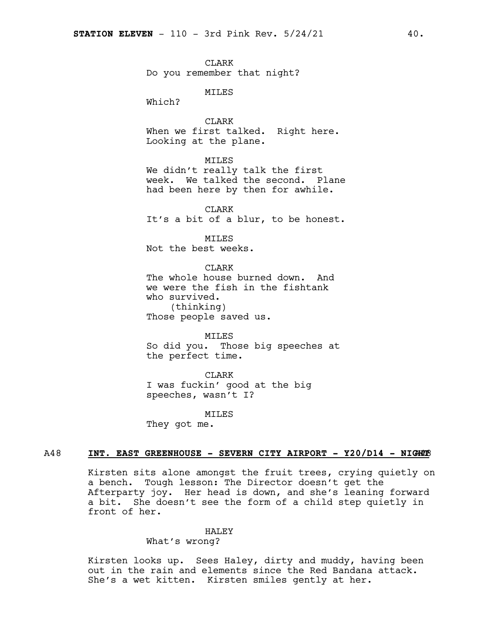CLARK Do you remember that night?

MILES

Which?

CLARK When we first talked. Right here. Looking at the plane.

### MILES

We didn't really talk the first week. We talked the second. Plane had been here by then for awhile.

**CLARK** It's a bit of a blur, to be honest.

MILES Not the best weeks.

CLARK

The whole house burned down. And we were the fish in the fishtank who survived. (thinking) Those people saved us.

MILES So did you. Those big speeches at the perfect time.

CLARK I was fuckin' good at the big speeches, wasn't I?

MILES

They got me.

### A48 **INT. EAST GREENHOUSE - SEVERN CITY AIRPORT - Y20/D14 - NIG**A48 **HT**

Kirsten sits alone amongst the fruit trees, crying quietly on a bench. Tough lesson: The Director doesn't get the Afterparty joy. Her head is down, and she's leaning forward a bit. She doesn't see the form of a child step quietly in front of her.

### HALEY

### What's wrong?

Kirsten looks up. Sees Haley, dirty and muddy, having been out in the rain and elements since the Red Bandana attack. She's a wet kitten. Kirsten smiles gently at her.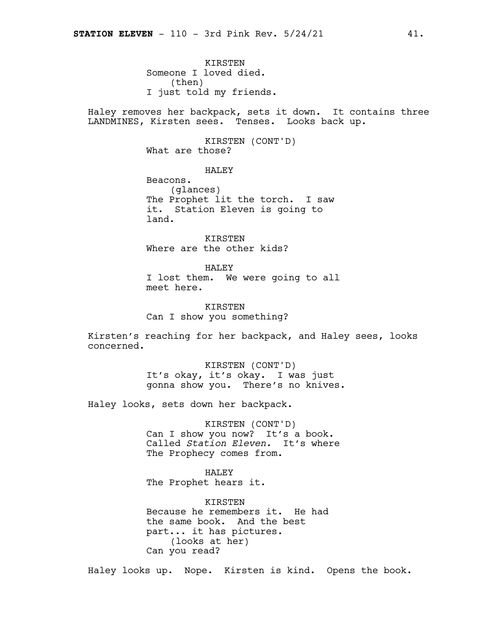**KIRSTEN** Someone I loved died. (then) I just told my friends.

Haley removes her backpack, sets it down. It contains three LANDMINES, Kirsten sees. Tenses. Looks back up.

> KIRSTEN (CONT'D) What are those?

> > HALEY

Beacons. (glances) The Prophet lit the torch. I saw it. Station Eleven is going to land.

KIRSTEN Where are the other kids?

HALEY I lost them. We were going to all meet here.

KIRSTEN Can I show you something?

Kirsten's reaching for her backpack, and Haley sees, looks concerned.

> KIRSTEN (CONT'D) It's okay, it's okay. I was just gonna show you. There's no knives.

Haley looks, sets down her backpack.

KIRSTEN (CONT'D) Can I show you now? It's a book. Called *Station Eleven.* It's where The Prophecy comes from.

HALEY The Prophet hears it.

KIRSTEN Because he remembers it. He had the same book. And the best part... it has pictures. (looks at her) Can you read?

Haley looks up. Nope. Kirsten is kind. Opens the book.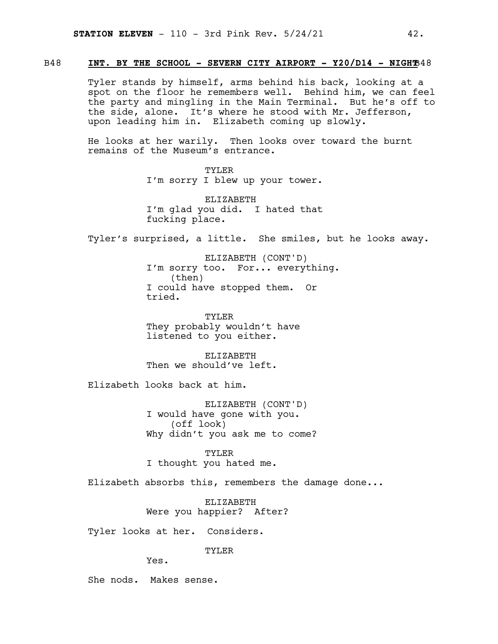### B48 **INT. BY THE SCHOOL - SEVERN CITY AIRPORT - Y20/D14 - NIGHT**B48

Tyler stands by himself, arms behind his back, looking at a spot on the floor he remembers well. Behind him, we can feel the party and mingling in the Main Terminal. But he's off to the side, alone. It's where he stood with Mr. Jefferson, upon leading him in. Elizabeth coming up slowly.

He looks at her warily. Then looks over toward the burnt remains of the Museum's entrance.

> TYLER I'm sorry I blew up your tower.

> ELIZABETH I'm glad you did. I hated that fucking place.

Tyler's surprised, a little. She smiles, but he looks away.

ELIZABETH (CONT'D) I'm sorry too. For... everything. (then) I could have stopped them. Or tried.

TYLER They probably wouldn't have listened to you either.

ELIZABETH Then we should've left.

Elizabeth looks back at him.

ELIZABETH (CONT'D) I would have gone with you. (off look) Why didn't you ask me to come?

TYLER I thought you hated me.

Elizabeth absorbs this, remembers the damage done...

ELIZABETH Were you happier? After?

Tyler looks at her. Considers.

TYLER

Yes.

She nods. Makes sense.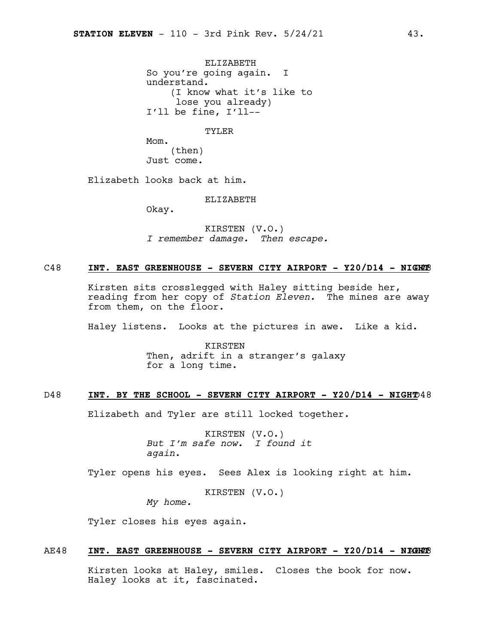ELIZABETH So you're going again. I understand. (I know what it's like to lose you already) I'll be fine, I'll--

TYLER

Mom. (then) Just come.

Elizabeth looks back at him.

ELIZABETH

Okay.

KIRSTEN (V.O.) *I remember damage. Then escape.*

### C48 **INT. EAST GREENHOUSE - SEVERN CITY AIRPORT - Y20/D14 - NIG**C48 **HT**

Kirsten sits crosslegged with Haley sitting beside her, reading from her copy of *Station Eleven.* The mines are away from them, on the floor.

Haley listens. Looks at the pictures in awe. Like a kid.

KIRSTEN Then, adrift in a stranger's galaxy for a long time.

### D48 **INT. BY THE SCHOOL - SEVERN CITY AIRPORT - Y20/D14 - NIGHT**D48

Elizabeth and Tyler are still locked together.

KIRSTEN (V.O.) *But I'm safe now. I found it again.*

Tyler opens his eyes. Sees Alex is looking right at him.

KIRSTEN (V.O.) *My home.*

Tyler closes his eyes again.

### AE48 **INT. EAST GREENHOUSE - SEVERN CITY AIRPORT - Y20/D14 - NI**AE48 **GHT**

Kirsten looks at Haley, smiles. Closes the book for now. Haley looks at it, fascinated.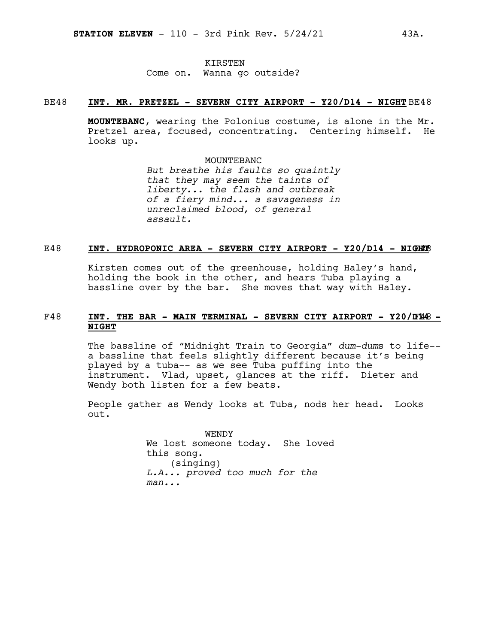### KIRSTEN Come on. Wanna go outside?

### BE48 **INT. MR. PRETZEL - SEVERN CITY AIRPORT - Y20/D14 - NIGHT** BE48

**MOUNTEBANC**, wearing the Polonius costume, is alone in the Mr. Pretzel area, focused, concentrating. Centering himself. He looks up.

### MOUNTEBANC

*But breathe his faults so quaintly that they may seem the taints of liberty... the flash and outbreak of a fiery mind... a savageness in unreclaimed blood, of general assault.*

### E48 **INT. HYDROPONIC AREA - SEVERN CITY AIRPORT - Y20/D14 - NIG**E48 **HT**

Kirsten comes out of the greenhouse, holding Haley's hand, holding the book in the other, and hears Tuba playing a bassline over by the bar. She moves that way with Haley.

### F48 **INT. THE BAR - MAIN TERMINAL - SEVERN CITY AIRPORT - Y20/D**F48 **14 - NIGHT**

The bassline of "Midnight Train to Georgia" *dum-dum*s to life- a bassline that feels slightly different because it's being played by a tuba-- as we see Tuba puffing into the instrument. Vlad, upset, glances at the riff. Dieter and Wendy both listen for a few beats.

People gather as Wendy looks at Tuba, nods her head. Looks out.

> WENDY We lost someone today. She loved this song. (singing) *L.A... proved too much for the man...*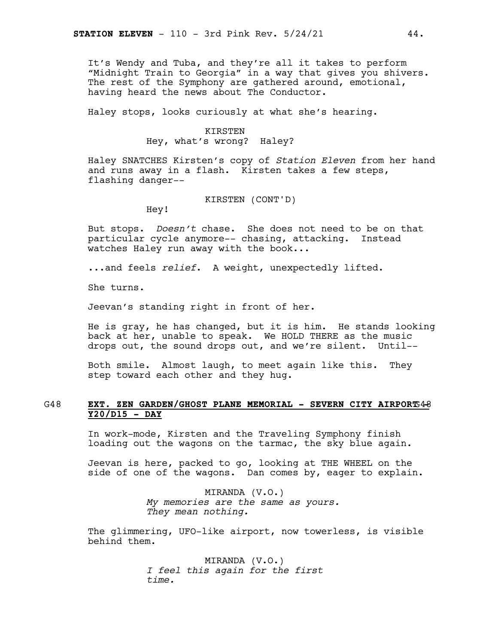It's Wendy and Tuba, and they're all it takes to perform "Midnight Train to Georgia" in a way that gives you shivers. The rest of the Symphony are gathered around, emotional, having heard the news about The Conductor.

Haley stops, looks curiously at what she's hearing.

### KIRSTEN

Hey, what's wrong? Haley?

Haley SNATCHES Kirsten's copy of *Station Eleven* from her hand and runs away in a flash. Kirsten takes a few steps, flashing danger--

KIRSTEN (CONT'D)

Hey!

But stops. *Doesn't* chase. She does not need to be on that particular cycle anymore-- chasing, attacking. Instead watches Haley run away with the book...

...and feels *relief*. A weight, unexpectedly lifted.

She turns.

Jeevan's standing right in front of her.

He is gray, he has changed, but it is him. He stands looking back at her, unable to speak. We HOLD THERE as the music drops out, the sound drops out, and we're silent. Until--

Both smile. Almost laugh, to meet again like this. They step toward each other and they hug.

### G48 **EXT. ZEN GARDEN/GHOST PLANE MEMORIAL - SEVERN CITY AIRPORT**G48**- Y20/D15 - DAY**

In work-mode, Kirsten and the Traveling Symphony finish loading out the wagons on the tarmac, the sky blue again.

Jeevan is here, packed to go, looking at THE WHEEL on the side of one of the wagons. Dan comes by, eager to explain.

> MIRANDA (V.O.) *My memories are the same as yours. They mean nothing.*

The glimmering, UFO-like airport, now towerless, is visible behind them.

> MIRANDA (V.O.) *I feel this again for the first time.*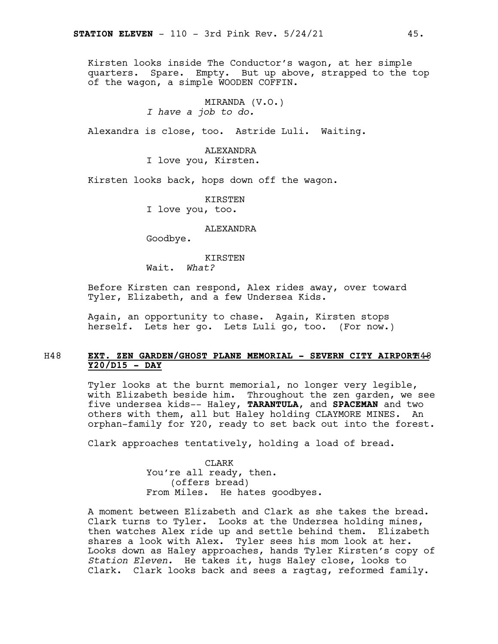Kirsten looks inside The Conductor's wagon, at her simple quarters. Spare. Empty. But up above, strapped to the top of the wagon, a simple WOODEN COFFIN.

> MIRANDA (V.O.) *I have a job to do.*

Alexandra is close, too. Astride Luli. Waiting.

### ALEXANDRA

I love you, Kirsten.

Kirsten looks back, hops down off the wagon.

KIRSTEN I love you, too.

ALEXANDRA

Goodbye.

KIRSTEN

Wait. *What?*

Before Kirsten can respond, Alex rides away, over toward Tyler, Elizabeth, and a few Undersea Kids.

Again, an opportunity to chase. Again, Kirsten stops herself. Lets her go. Lets Luli go, too. (For now.)

### H48 **EXT. ZEN GARDEN/GHOST PLANE MEMORIAL - SEVERN CITY AIRPORT**H48**- Y20/D15 - DAY**

Tyler looks at the burnt memorial, no longer very legible, with Elizabeth beside him. Throughout the zen garden, we see five undersea kids-- Haley, **TARANTULA**, and **SPACEMAN** and two others with them, all but Haley holding CLAYMORE MINES. An orphan-family for Y20, ready to set back out into the forest.

Clark approaches tentatively, holding a load of bread.

CLARK You're all ready, then. (offers bread) From Miles. He hates goodbyes.

A moment between Elizabeth and Clark as she takes the bread. Clark turns to Tyler. Looks at the Undersea holding mines, then watches Alex ride up and settle behind them. Elizabeth shares a look with Alex. Tyler sees his mom look at her. Looks down as Haley approaches, hands Tyler Kirsten's copy of *Station Eleven.* He takes it, hugs Haley close, looks to Clark. Clark looks back and sees a ragtag, reformed family.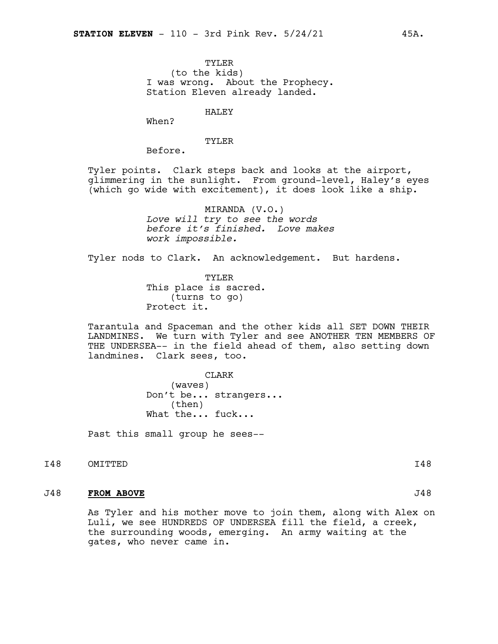TYLER (to the kids) I was wrong. About the Prophecy. Station Eleven already landed.

HALEY

When?

### TYLER

Before.

Tyler points. Clark steps back and looks at the airport, glimmering in the sunlight. From ground-level, Haley's eyes (which go wide with excitement), it does look like a ship.

> MIRANDA (V.O.) *Love will try to see the words before it's finished. Love makes work impossible.*

Tyler nods to Clark. An acknowledgement. But hardens.

TYLER This place is sacred. (turns to go) Protect it.

Tarantula and Spaceman and the other kids all SET DOWN THEIR LANDMINES. We turn with Tyler and see ANOTHER TEN MEMBERS OF THE UNDERSEA-- in the field ahead of them, also setting down landmines. Clark sees, too.

> CLARK (waves) Don't be... strangers... (then) What the... fuck...

Past this small group he sees--

I48 OMITTED 148

### J48 **FROM ABOVE** J48

As Tyler and his mother move to join them, along with Alex on Luli, we see HUNDREDS OF UNDERSEA fill the field, a creek, the surrounding woods, emerging. An army waiting at the gates, who never came in.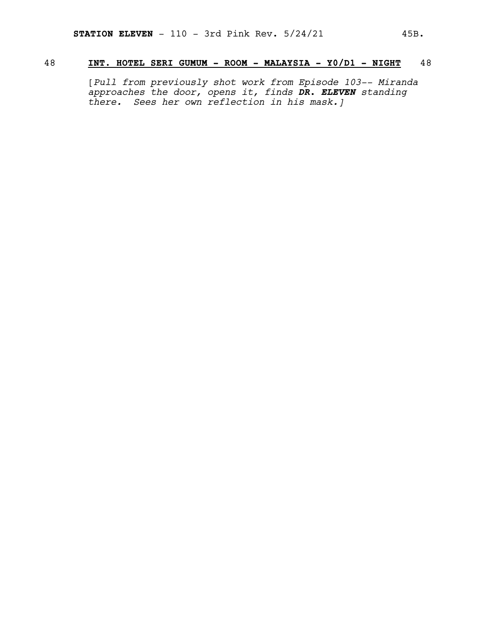### 48 **INT. HOTEL SERI GUMUM - ROOM - MALAYSIA - Y0/D1 - NIGHT** 48

[*Pull from previously shot work from Episode 103-- Miranda approaches the door, opens it, finds DR. ELEVEN standing there. Sees her own reflection in his mask.]*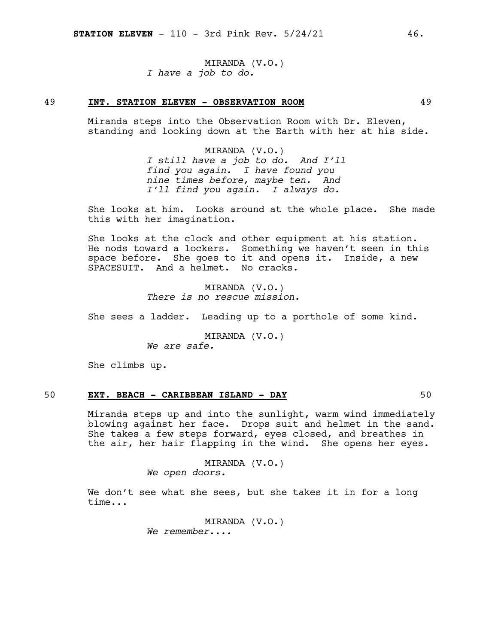MIRANDA (V.O.) *I have a job to do.*

### 49 **INT. STATION ELEVEN - OBSERVATION ROOM** 49

Miranda steps into the Observation Room with Dr. Eleven, standing and looking down at the Earth with her at his side.

> MIRANDA (V.O.) *I still have a job to do. And I'll find you again. I have found you nine times before, maybe ten. And I'll find you again. I always do.*

She looks at him. Looks around at the whole place. She made this with her imagination.

She looks at the clock and other equipment at his station. He nods toward a lockers. Something we haven't seen in this space before. She goes to it and opens it. Inside, a new SPACESUIT. And a helmet. No cracks.

> MIRANDA (V.O.) *There is no rescue mission.*

She sees a ladder. Leading up to a porthole of some kind.

MIRANDA (V.O.) *We are safe.*

She climbs up.

### 50 **EXT. BEACH - CARIBBEAN ISLAND - DAY** 50

Miranda steps up and into the sunlight, warm wind immediately blowing against her face. Drops suit and helmet in the sand. She takes a few steps forward, eyes closed, and breathes in the air, her hair flapping in the wind. She opens her eyes.

> MIRANDA (V.O.) *We open doors.*

We don't see what she sees, but she takes it in for a long time...

> MIRANDA (V.O.) *We remember....*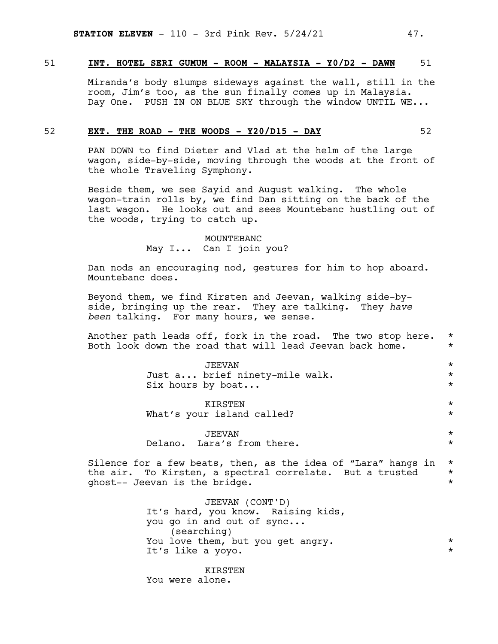### 51 **INT. HOTEL SERI GUMUM - ROOM - MALAYSIA - Y0/D2 - DAWN** 51

Miranda's body slumps sideways against the wall, still in the room, Jim's too, as the sun finally comes up in Malaysia. Day One. PUSH IN ON BLUE SKY through the window UNTIL WE...

### 52 **EXT. THE ROAD - THE WOODS - Y20/D15 - DAY** 52

PAN DOWN to find Dieter and Vlad at the helm of the large wagon, side-by-side, moving through the woods at the front of the whole Traveling Symphony.

Beside them, we see Sayid and August walking. The whole wagon-train rolls by, we find Dan sitting on the back of the last wagon. He looks out and sees Mountebanc hustling out of the woods, trying to catch up.

> MOUNTEBANC May I... Can I join you?

Dan nods an encouraging nod, gestures for him to hop aboard. Mountebanc does.

Beyond them, we find Kirsten and Jeevan, walking side-byside, bringing up the rear. They are talking. They *have been* talking. For many hours, we sense.

Another path leads off, fork in the road. The two stop here. \* Both look down the road that will lead Jeevan back home.  $*$ 

> JEEVAN \* Just a... brief ninety-mile walk. \* Six hours by boat...  $\star$

> KIRSTEN \* What's your island called? \*

JEEVAN \* Delano. Lara's from there.  $\star$ 

Silence for a few beats, then, as the idea of "Lara" hangs in  $*$ the air. To Kirsten, a spectral correlate. But a trusted  $*$ <br>ghost-- Jeevan is the bridge ghost-- Jeevan is the bridge. \*

> JEEVAN (CONT'D) It's hard, you know. Raising kids, you go in and out of sync... (searching) You love them, but you get angry.  $*$ <br> $H's$  like a voyo It's like a yoyo.

KIRSTEN You were alone.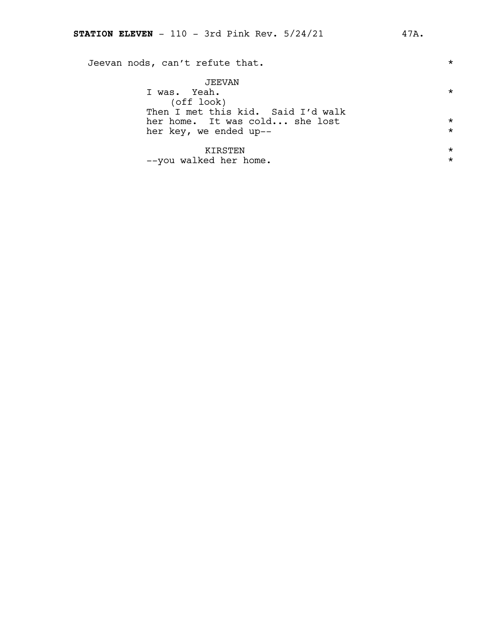| Jeevan nods, can't refute that.                                            | $^\star$             |
|----------------------------------------------------------------------------|----------------------|
| JEEVAN<br>I was. Yeah.<br>(off look)<br>Then I met this kid. Said I'd walk | *                    |
| her home. It was cold she lost                                             | $^\star$             |
| her key, we ended up--                                                     | $^\star$             |
| KIRSTEN<br>--you walked her home.                                          | $^\star$<br>$^\star$ |